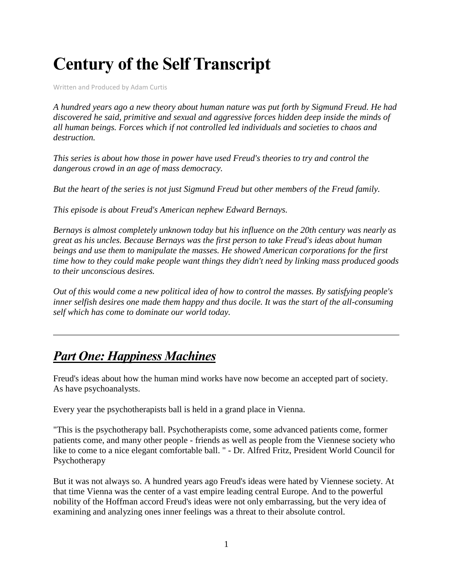# **Century of the Self Transcript**

Written and Produced by Adam Curtis

*A hundred years ago a new theory about human nature was put forth by Sigmund Freud. He had discovered he said, primitive and sexual and aggressive forces hidden deep inside the minds of all human beings. Forces which if not controlled led individuals and societies to chaos and destruction.*

*This series is about how those in power have used Freud's theories to try and control the dangerous crowd in an age of mass democracy.*

*But the heart of the series is not just Sigmund Freud but other members of the Freud family.*

*This episode is about Freud's American nephew Edward Bernays.*

*Bernays is almost completely unknown today but his influence on the 20th century was nearly as great as his uncles. Because Bernays was the first person to take Freud's ideas about human beings and use them to manipulate the masses. He showed American corporations for the first time how to they could make people want things they didn't need by linking mass produced goods to their unconscious desires.*

*Out of this would come a new political idea of how to control the masses. By satisfying people's inner selfish desires one made them happy and thus docile. It was the start of the all-consuming self which has come to dominate our world today.*

### *Part One: Happiness Machines*

Freud's ideas about how the human mind works have now become an accepted part of society. As have psychoanalysts.

Every year the psychotherapists ball is held in a grand place in Vienna.

"This is the psychotherapy ball. Psychotherapists come, some advanced patients come, former patients come, and many other people - friends as well as people from the Viennese society who like to come to a nice elegant comfortable ball. " - Dr. Alfred Fritz, President World Council for Psychotherapy

But it was not always so. A hundred years ago Freud's ideas were hated by Viennese society. At that time Vienna was the center of a vast empire leading central Europe. And to the powerful nobility of the Hoffman accord Freud's ideas were not only embarrassing, but the very idea of examining and analyzing ones inner feelings was a threat to their absolute control.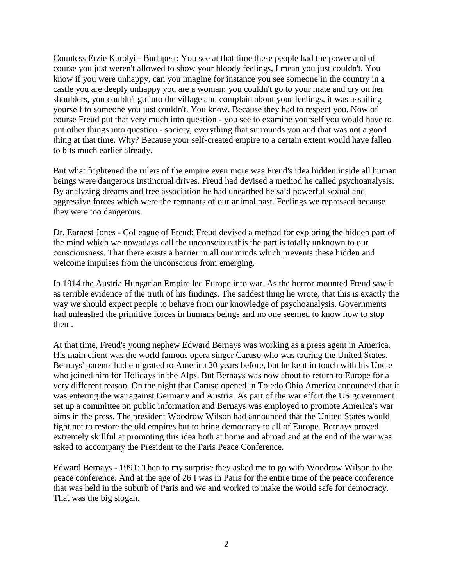Countess Erzie Karolyi - Budapest: You see at that time these people had the power and of course you just weren't allowed to show your bloody feelings, I mean you just couldn't. You know if you were unhappy, can you imagine for instance you see someone in the country in a castle you are deeply unhappy you are a woman; you couldn't go to your mate and cry on her shoulders, you couldn't go into the village and complain about your feelings, it was assailing yourself to someone you just couldn't. You know. Because they had to respect you. Now of course Freud put that very much into question - you see to examine yourself you would have to put other things into question - society, everything that surrounds you and that was not a good thing at that time. Why? Because your self-created empire to a certain extent would have fallen to bits much earlier already.

But what frightened the rulers of the empire even more was Freud's idea hidden inside all human beings were dangerous instinctual drives. Freud had devised a method he called psychoanalysis. By analyzing dreams and free association he had unearthed he said powerful sexual and aggressive forces which were the remnants of our animal past. Feelings we repressed because they were too dangerous.

Dr. Earnest Jones - Colleague of Freud: Freud devised a method for exploring the hidden part of the mind which we nowadays call the unconscious this the part is totally unknown to our consciousness. That there exists a barrier in all our minds which prevents these hidden and welcome impulses from the unconscious from emerging.

In 1914 the Austria Hungarian Empire led Europe into war. As the horror mounted Freud saw it as terrible evidence of the truth of his findings. The saddest thing he wrote, that this is exactly the way we should expect people to behave from our knowledge of psychoanalysis. Governments had unleashed the primitive forces in humans beings and no one seemed to know how to stop them.

At that time, Freud's young nephew Edward Bernays was working as a press agent in America. His main client was the world famous opera singer Caruso who was touring the United States. Bernays' parents had emigrated to America 20 years before, but he kept in touch with his Uncle who joined him for Holidays in the Alps. But Bernays was now about to return to Europe for a very different reason. On the night that Caruso opened in Toledo Ohio America announced that it was entering the war against Germany and Austria. As part of the war effort the US government set up a committee on public information and Bernays was employed to promote America's war aims in the press. The president Woodrow Wilson had announced that the United States would fight not to restore the old empires but to bring democracy to all of Europe. Bernays proved extremely skillful at promoting this idea both at home and abroad and at the end of the war was asked to accompany the President to the Paris Peace Conference.

Edward Bernays - 1991: Then to my surprise they asked me to go with Woodrow Wilson to the peace conference. And at the age of 26 I was in Paris for the entire time of the peace conference that was held in the suburb of Paris and we and worked to make the world safe for democracy. That was the big slogan.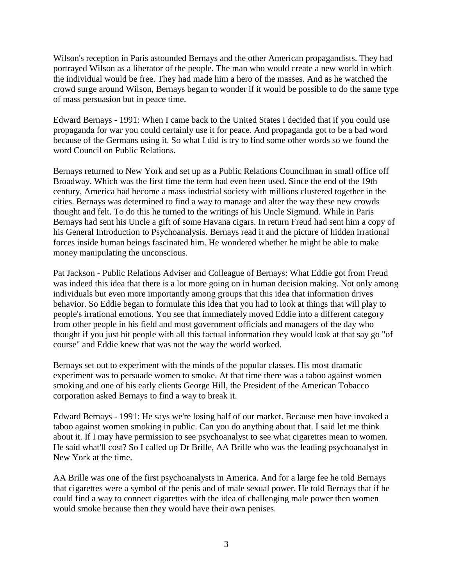Wilson's reception in Paris astounded Bernays and the other American propagandists. They had portrayed Wilson as a liberator of the people. The man who would create a new world in which the individual would be free. They had made him a hero of the masses. And as he watched the crowd surge around Wilson, Bernays began to wonder if it would be possible to do the same type of mass persuasion but in peace time.

Edward Bernays - 1991: When I came back to the United States I decided that if you could use propaganda for war you could certainly use it for peace. And propaganda got to be a bad word because of the Germans using it. So what I did is try to find some other words so we found the word Council on Public Relations.

Bernays returned to New York and set up as a Public Relations Councilman in small office off Broadway. Which was the first time the term had even been used. Since the end of the 19th century, America had become a mass industrial society with millions clustered together in the cities. Bernays was determined to find a way to manage and alter the way these new crowds thought and felt. To do this he turned to the writings of his Uncle Sigmund. While in Paris Bernays had sent his Uncle a gift of some Havana cigars. In return Freud had sent him a copy of his General Introduction to Psychoanalysis. Bernays read it and the picture of hidden irrational forces inside human beings fascinated him. He wondered whether he might be able to make money manipulating the unconscious.

Pat Jackson - Public Relations Adviser and Colleague of Bernays: What Eddie got from Freud was indeed this idea that there is a lot more going on in human decision making. Not only among individuals but even more importantly among groups that this idea that information drives behavior. So Eddie began to formulate this idea that you had to look at things that will play to people's irrational emotions. You see that immediately moved Eddie into a different category from other people in his field and most government officials and managers of the day who thought if you just hit people with all this factual information they would look at that say go "of course" and Eddie knew that was not the way the world worked.

Bernays set out to experiment with the minds of the popular classes. His most dramatic experiment was to persuade women to smoke. At that time there was a taboo against women smoking and one of his early clients George Hill, the President of the American Tobacco corporation asked Bernays to find a way to break it.

Edward Bernays - 1991: He says we're losing half of our market. Because men have invoked a taboo against women smoking in public. Can you do anything about that. I said let me think about it. If I may have permission to see psychoanalyst to see what cigarettes mean to women. He said what'll cost? So I called up Dr Brille, AA Brille who was the leading psychoanalyst in New York at the time.

AA Brille was one of the first psychoanalysts in America. And for a large fee he told Bernays that cigarettes were a symbol of the penis and of male sexual power. He told Bernays that if he could find a way to connect cigarettes with the idea of challenging male power then women would smoke because then they would have their own penises.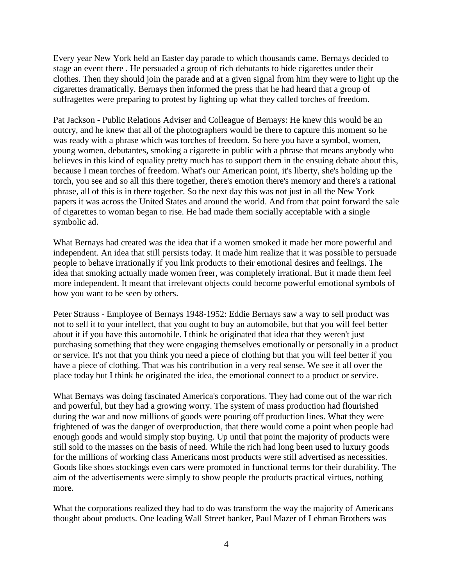Every year New York held an Easter day parade to which thousands came. Bernays decided to stage an event there . He persuaded a group of rich debutants to hide cigarettes under their clothes. Then they should join the parade and at a given signal from him they were to light up the cigarettes dramatically. Bernays then informed the press that he had heard that a group of suffragettes were preparing to protest by lighting up what they called torches of freedom.

Pat Jackson - Public Relations Adviser and Colleague of Bernays: He knew this would be an outcry, and he knew that all of the photographers would be there to capture this moment so he was ready with a phrase which was torches of freedom. So here you have a symbol, women, young women, debutantes, smoking a cigarette in public with a phrase that means anybody who believes in this kind of equality pretty much has to support them in the ensuing debate about this, because I mean torches of freedom. What's our American point, it's liberty, she's holding up the torch, you see and so all this there together, there's emotion there's memory and there's a rational phrase, all of this is in there together. So the next day this was not just in all the New York papers it was across the United States and around the world. And from that point forward the sale of cigarettes to woman began to rise. He had made them socially acceptable with a single symbolic ad.

What Bernays had created was the idea that if a women smoked it made her more powerful and independent. An idea that still persists today. It made him realize that it was possible to persuade people to behave irrationally if you link products to their emotional desires and feelings. The idea that smoking actually made women freer, was completely irrational. But it made them feel more independent. It meant that irrelevant objects could become powerful emotional symbols of how you want to be seen by others.

Peter Strauss - Employee of Bernays 1948-1952: Eddie Bernays saw a way to sell product was not to sell it to your intellect, that you ought to buy an automobile, but that you will feel better about it if you have this automobile. I think he originated that idea that they weren't just purchasing something that they were engaging themselves emotionally or personally in a product or service. It's not that you think you need a piece of clothing but that you will feel better if you have a piece of clothing. That was his contribution in a very real sense. We see it all over the place today but I think he originated the idea, the emotional connect to a product or service.

What Bernays was doing fascinated America's corporations. They had come out of the war rich and powerful, but they had a growing worry. The system of mass production had flourished during the war and now millions of goods were pouring off production lines. What they were frightened of was the danger of overproduction, that there would come a point when people had enough goods and would simply stop buying. Up until that point the majority of products were still sold to the masses on the basis of need. While the rich had long been used to luxury goods for the millions of working class Americans most products were still advertised as necessities. Goods like shoes stockings even cars were promoted in functional terms for their durability. The aim of the advertisements were simply to show people the products practical virtues, nothing more.

What the corporations realized they had to do was transform the way the majority of Americans thought about products. One leading Wall Street banker, Paul Mazer of Lehman Brothers was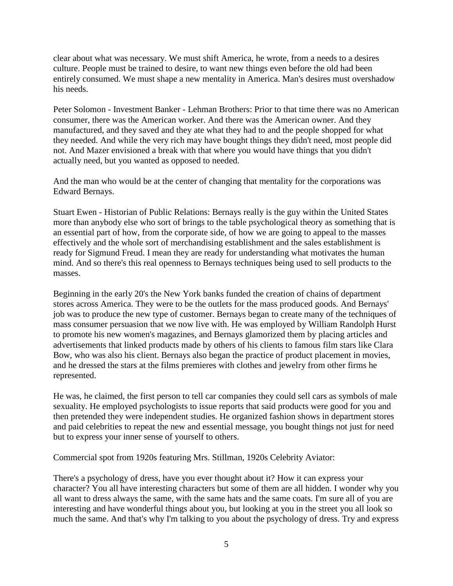clear about what was necessary. We must shift America, he wrote, from a needs to a desires culture. People must be trained to desire, to want new things even before the old had been entirely consumed. We must shape a new mentality in America. Man's desires must overshadow his needs.

Peter Solomon - Investment Banker - Lehman Brothers: Prior to that time there was no American consumer, there was the American worker. And there was the American owner. And they manufactured, and they saved and they ate what they had to and the people shopped for what they needed. And while the very rich may have bought things they didn't need, most people did not. And Mazer envisioned a break with that where you would have things that you didn't actually need, but you wanted as opposed to needed.

And the man who would be at the center of changing that mentality for the corporations was Edward Bernays.

Stuart Ewen - Historian of Public Relations: Bernays really is the guy within the United States more than anybody else who sort of brings to the table psychological theory as something that is an essential part of how, from the corporate side, of how we are going to appeal to the masses effectively and the whole sort of merchandising establishment and the sales establishment is ready for Sigmund Freud. I mean they are ready for understanding what motivates the human mind. And so there's this real openness to Bernays techniques being used to sell products to the masses.

Beginning in the early 20's the New York banks funded the creation of chains of department stores across America. They were to be the outlets for the mass produced goods. And Bernays' job was to produce the new type of customer. Bernays began to create many of the techniques of mass consumer persuasion that we now live with. He was employed by William Randolph Hurst to promote his new women's magazines, and Bernays glamorized them by placing articles and advertisements that linked products made by others of his clients to famous film stars like Clara Bow, who was also his client. Bernays also began the practice of product placement in movies, and he dressed the stars at the films premieres with clothes and jewelry from other firms he represented.

He was, he claimed, the first person to tell car companies they could sell cars as symbols of male sexuality. He employed psychologists to issue reports that said products were good for you and then pretended they were independent studies. He organized fashion shows in department stores and paid celebrities to repeat the new and essential message, you bought things not just for need but to express your inner sense of yourself to others.

Commercial spot from 1920s featuring Mrs. Stillman, 1920s Celebrity Aviator:

There's a psychology of dress, have you ever thought about it? How it can express your character? You all have interesting characters but some of them are all hidden. I wonder why you all want to dress always the same, with the same hats and the same coats. I'm sure all of you are interesting and have wonderful things about you, but looking at you in the street you all look so much the same. And that's why I'm talking to you about the psychology of dress. Try and express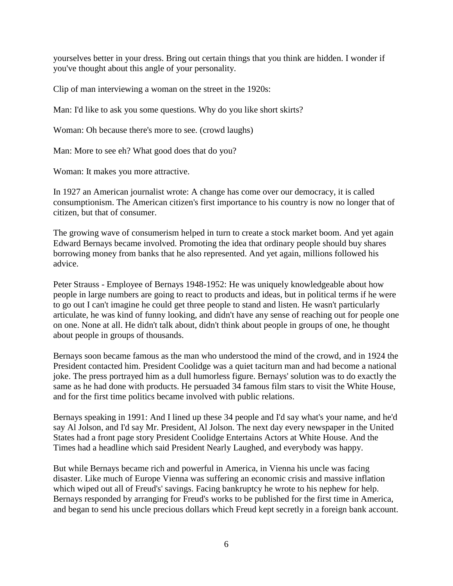yourselves better in your dress. Bring out certain things that you think are hidden. I wonder if you've thought about this angle of your personality.

Clip of man interviewing a woman on the street in the 1920s:

Man: I'd like to ask you some questions. Why do you like short skirts?

Woman: Oh because there's more to see. (crowd laughs)

Man: More to see eh? What good does that do you?

Woman: It makes you more attractive.

In 1927 an American journalist wrote: A change has come over our democracy, it is called consumptionism. The American citizen's first importance to his country is now no longer that of citizen, but that of consumer.

The growing wave of consumerism helped in turn to create a stock market boom. And yet again Edward Bernays became involved. Promoting the idea that ordinary people should buy shares borrowing money from banks that he also represented. And yet again, millions followed his advice.

Peter Strauss - Employee of Bernays 1948-1952: He was uniquely knowledgeable about how people in large numbers are going to react to products and ideas, but in political terms if he were to go out I can't imagine he could get three people to stand and listen. He wasn't particularly articulate, he was kind of funny looking, and didn't have any sense of reaching out for people one on one. None at all. He didn't talk about, didn't think about people in groups of one, he thought about people in groups of thousands.

Bernays soon became famous as the man who understood the mind of the crowd, and in 1924 the President contacted him. President Coolidge was a quiet taciturn man and had become a national joke. The press portrayed him as a dull humorless figure. Bernays' solution was to do exactly the same as he had done with products. He persuaded 34 famous film stars to visit the White House, and for the first time politics became involved with public relations.

Bernays speaking in 1991: And I lined up these 34 people and I'd say what's your name, and he'd say Al Jolson, and I'd say Mr. President, Al Jolson. The next day every newspaper in the United States had a front page story President Coolidge Entertains Actors at White House. And the Times had a headline which said President Nearly Laughed, and everybody was happy.

But while Bernays became rich and powerful in America, in Vienna his uncle was facing disaster. Like much of Europe Vienna was suffering an economic crisis and massive inflation which wiped out all of Freud's' savings. Facing bankruptcy he wrote to his nephew for help. Bernays responded by arranging for Freud's works to be published for the first time in America, and began to send his uncle precious dollars which Freud kept secretly in a foreign bank account.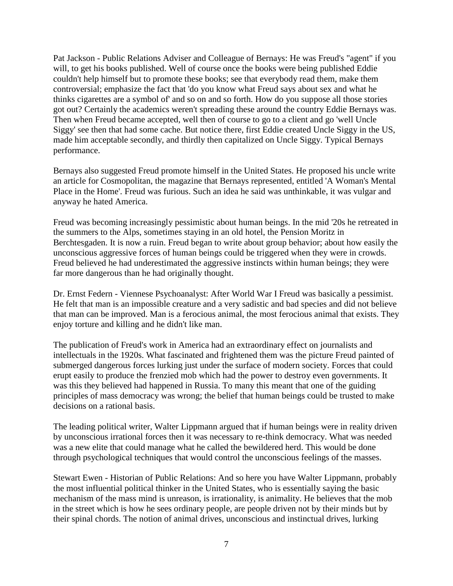Pat Jackson - Public Relations Adviser and Colleague of Bernays: He was Freud's "agent" if you will, to get his books published. Well of course once the books were being published Eddie couldn't help himself but to promote these books; see that everybody read them, make them controversial; emphasize the fact that 'do you know what Freud says about sex and what he thinks cigarettes are a symbol of' and so on and so forth. How do you suppose all those stories got out? Certainly the academics weren't spreading these around the country Eddie Bernays was. Then when Freud became accepted, well then of course to go to a client and go 'well Uncle Siggy' see then that had some cache. But notice there, first Eddie created Uncle Siggy in the US, made him acceptable secondly, and thirdly then capitalized on Uncle Siggy. Typical Bernays performance.

Bernays also suggested Freud promote himself in the United States. He proposed his uncle write an article for Cosmopolitan, the magazine that Bernays represented, entitled 'A Woman's Mental Place in the Home'. Freud was furious. Such an idea he said was unthinkable, it was vulgar and anyway he hated America.

Freud was becoming increasingly pessimistic about human beings. In the mid '20s he retreated in the summers to the Alps, sometimes staying in an old hotel, the Pension Moritz in Berchtesgaden. It is now a ruin. Freud began to write about group behavior; about how easily the unconscious aggressive forces of human beings could be triggered when they were in crowds. Freud believed he had underestimated the aggressive instincts within human beings; they were far more dangerous than he had originally thought.

Dr. Ernst Federn - Viennese Psychoanalyst: After World War I Freud was basically a pessimist. He felt that man is an impossible creature and a very sadistic and bad species and did not believe that man can be improved. Man is a ferocious animal, the most ferocious animal that exists. They enjoy torture and killing and he didn't like man.

The publication of Freud's work in America had an extraordinary effect on journalists and intellectuals in the 1920s. What fascinated and frightened them was the picture Freud painted of submerged dangerous forces lurking just under the surface of modern society. Forces that could erupt easily to produce the frenzied mob which had the power to destroy even governments. It was this they believed had happened in Russia. To many this meant that one of the guiding principles of mass democracy was wrong; the belief that human beings could be trusted to make decisions on a rational basis.

The leading political writer, Walter Lippmann argued that if human beings were in reality driven by unconscious irrational forces then it was necessary to re-think democracy. What was needed was a new elite that could manage what he called the bewildered herd. This would be done through psychological techniques that would control the unconscious feelings of the masses.

Stewart Ewen - Historian of Public Relations: And so here you have Walter Lippmann, probably the most influential political thinker in the United States, who is essentially saying the basic mechanism of the mass mind is unreason, is irrationality, is animality. He believes that the mob in the street which is how he sees ordinary people, are people driven not by their minds but by their spinal chords. The notion of animal drives, unconscious and instinctual drives, lurking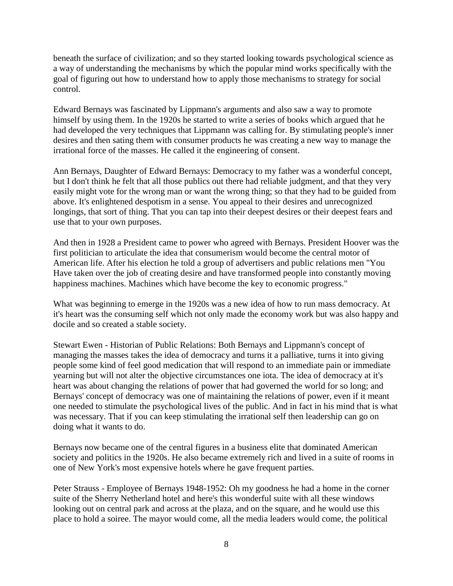beneath the surface of civilization; and so they started looking towards psychological science as a way of understanding the mechanisms by which the popular mind works specifically with the goal of figuring out how to understand how to apply those mechanisms to strategy for social control.

Edward Bernays was fascinated by Lippmann's arguments and also saw a way to promote himself by using them. In the 1920s he started to write a series of books which argued that he had developed the very techniques that Lippmann was calling for. By stimulating people's inner desires and then sating them with consumer products he was creating a new way to manage the irrational force of the masses. He called it the engineering of consent.

Ann Bernays, Daughter of Edward Bernays: Democracy to my father was a wonderful concept, but I don't think he felt that all those publics out there had reliable judgment, and that they very easily might vote for the wrong man or want the wrong thing; so that they had to be guided from above. It's enlightened despotism in a sense. You appeal to their desires and unrecognized longings, that sort of thing. That you can tap into their deepest desires or their deepest fears and use that to your own purposes.

And then in 1928 a President came to power who agreed with Bernays. President Hoover was the first politician to articulate the idea that consumerism would become the central motor of American life. After his election he told a group of advertisers and public relations men "You Have taken over the job of creating desire and have transformed people into constantly moving happiness machines. Machines which have become the key to economic progress."

What was beginning to emerge in the 1920s was a new idea of how to run mass democracy. At it's heart was the consuming self which not only made the economy work but was also happy and docile and so created a stable society.

Stewart Ewen - Historian of Public Relations: Both Bernays and Lippmann's concept of managing the masses takes the idea of democracy and turns it a palliative, turns it into giving people some kind of feel good medication that will respond to an immediate pain or immediate yearning but will not alter the objective circumstances one iota. The idea of democracy at it's heart was about changing the relations of power that had governed the world for so long; and Bernays' concept of democracy was one of maintaining the relations of power, even if it meant one needed to stimulate the psychological lives of the public. And in fact in his mind that is what was necessary. That if you can keep stimulating the irrational self then leadership can go on doing what it wants to do.

Bernays now became one of the central figures in a business elite that dominated American society and politics in the 1920s. He also became extremely rich and lived in a suite of rooms in one of New York's most expensive hotels where he gave frequent parties.

Peter Strauss - Employee of Bernays 1948-1952: Oh my goodness he had a home in the corner suite of the Sherry Netherland hotel and here's this wonderful suite with all these windows looking out on central park and across at the plaza, and on the square, and he would use this place to hold a soiree. The mayor would come, all the media leaders would come, the political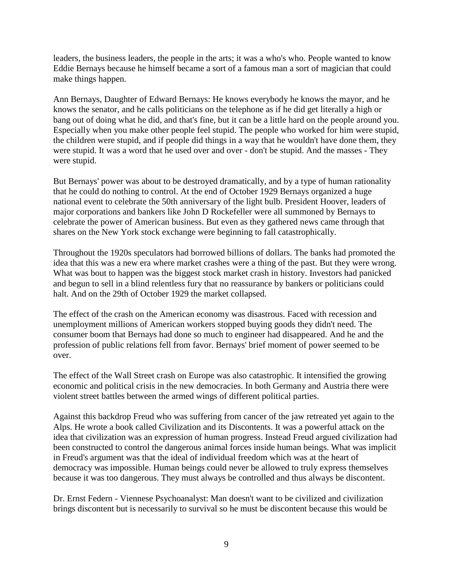leaders, the business leaders, the people in the arts; it was a who's who. People wanted to know Eddie Bernays because he himself became a sort of a famous man a sort of magician that could make things happen.

Ann Bernays, Daughter of Edward Bernays: He knows everybody he knows the mayor, and he knows the senator, and he calls politicians on the telephone as if he did get literally a high or bang out of doing what he did, and that's fine, but it can be a little hard on the people around you. Especially when you make other people feel stupid. The people who worked for him were stupid, the children were stupid, and if people did things in a way that he wouldn't have done them, they were stupid. It was a word that he used over and over - don't be stupid. And the masses - They were stupid.

But Bernays' power was about to be destroyed dramatically, and by a type of human rationality that he could do nothing to control. At the end of October 1929 Bernays organized a huge national event to celebrate the 50th anniversary of the light bulb. President Hoover, leaders of major corporations and bankers like John D Rockefeller were all summoned by Bernays to celebrate the power of American business. But even as they gathered news came through that shares on the New York stock exchange were beginning to fall catastrophically.

Throughout the 1920s speculators had borrowed billions of dollars. The banks had promoted the idea that this was a new era where market crashes were a thing of the past. But they were wrong. What was bout to happen was the biggest stock market crash in history. Investors had panicked and begun to sell in a blind relentless fury that no reassurance by bankers or politicians could halt. And on the 29th of October 1929 the market collapsed.

The effect of the crash on the American economy was disastrous. Faced with recession and unemployment millions of American workers stopped buying goods they didn't need. The consumer boom that Bernays had done so much to engineer had disappeared. And he and the profession of public relations fell from favor. Bernays' brief moment of power seemed to be over.

The effect of the Wall Street crash on Europe was also catastrophic. It intensified the growing economic and political crisis in the new democracies. In both Germany and Austria there were violent street battles between the armed wings of different political parties.

Against this backdrop Freud who was suffering from cancer of the jaw retreated yet again to the Alps. He wrote a book called Civilization and its Discontents. It was a powerful attack on the idea that civilization was an expression of human progress. Instead Freud argued civilization had been constructed to control the dangerous animal forces inside human beings. What was implicit in Freud's argument was that the ideal of individual freedom which was at the heart of democracy was impossible. Human beings could never be allowed to truly express themselves because it was too dangerous. They must always be controlled and thus always be discontent.

Dr. Ernst Federn - Viennese Psychoanalyst: Man doesn't want to be civilized and civilization brings discontent but is necessarily to survival so he must be discontent because this would be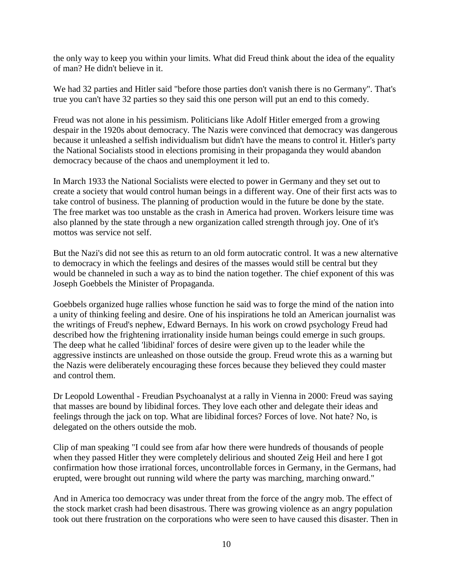the only way to keep you within your limits. What did Freud think about the idea of the equality of man? He didn't believe in it.

We had 32 parties and Hitler said "before those parties don't vanish there is no Germany". That's true you can't have 32 parties so they said this one person will put an end to this comedy.

Freud was not alone in his pessimism. Politicians like Adolf Hitler emerged from a growing despair in the 1920s about democracy. The Nazis were convinced that democracy was dangerous because it unleashed a selfish individualism but didn't have the means to control it. Hitler's party the National Socialists stood in elections promising in their propaganda they would abandon democracy because of the chaos and unemployment it led to.

In March 1933 the National Socialists were elected to power in Germany and they set out to create a society that would control human beings in a different way. One of their first acts was to take control of business. The planning of production would in the future be done by the state. The free market was too unstable as the crash in America had proven. Workers leisure time was also planned by the state through a new organization called strength through joy. One of it's mottos was service not self.

But the Nazi's did not see this as return to an old form autocratic control. It was a new alternative to democracy in which the feelings and desires of the masses would still be central but they would be channeled in such a way as to bind the nation together. The chief exponent of this was Joseph Goebbels the Minister of Propaganda.

Goebbels organized huge rallies whose function he said was to forge the mind of the nation into a unity of thinking feeling and desire. One of his inspirations he told an American journalist was the writings of Freud's nephew, Edward Bernays. In his work on crowd psychology Freud had described how the frightening irrationality inside human beings could emerge in such groups. The deep what he called 'libidinal' forces of desire were given up to the leader while the aggressive instincts are unleashed on those outside the group. Freud wrote this as a warning but the Nazis were deliberately encouraging these forces because they believed they could master and control them.

Dr Leopold Lowenthal - Freudian Psychoanalyst at a rally in Vienna in 2000: Freud was saying that masses are bound by libidinal forces. They love each other and delegate their ideas and feelings through the jack on top. What are libidinal forces? Forces of love. Not hate? No, is delegated on the others outside the mob.

Clip of man speaking "I could see from afar how there were hundreds of thousands of people when they passed Hitler they were completely delirious and shouted Zeig Heil and here I got confirmation how those irrational forces, uncontrollable forces in Germany, in the Germans, had erupted, were brought out running wild where the party was marching, marching onward."

And in America too democracy was under threat from the force of the angry mob. The effect of the stock market crash had been disastrous. There was growing violence as an angry population took out there frustration on the corporations who were seen to have caused this disaster. Then in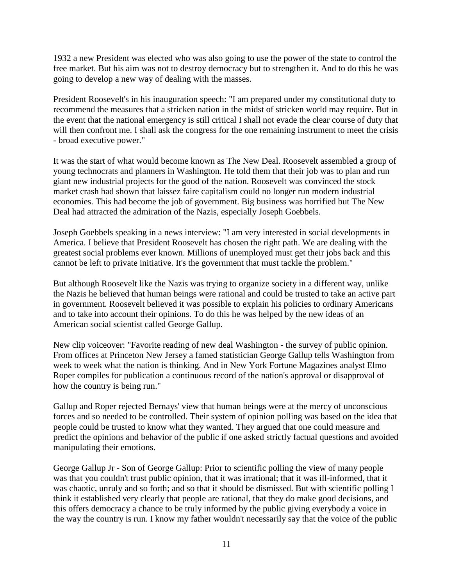1932 a new President was elected who was also going to use the power of the state to control the free market. But his aim was not to destroy democracy but to strengthen it. And to do this he was going to develop a new way of dealing with the masses.

President Roosevelt's in his inauguration speech: "I am prepared under my constitutional duty to recommend the measures that a stricken nation in the midst of stricken world may require. But in the event that the national emergency is still critical I shall not evade the clear course of duty that will then confront me. I shall ask the congress for the one remaining instrument to meet the crisis - broad executive power."

It was the start of what would become known as The New Deal. Roosevelt assembled a group of young technocrats and planners in Washington. He told them that their job was to plan and run giant new industrial projects for the good of the nation. Roosevelt was convinced the stock market crash had shown that laissez faire capitalism could no longer run modern industrial economies. This had become the job of government. Big business was horrified but The New Deal had attracted the admiration of the Nazis, especially Joseph Goebbels.

Joseph Goebbels speaking in a news interview: "I am very interested in social developments in America. I believe that President Roosevelt has chosen the right path. We are dealing with the greatest social problems ever known. Millions of unemployed must get their jobs back and this cannot be left to private initiative. It's the government that must tackle the problem."

But although Roosevelt like the Nazis was trying to organize society in a different way, unlike the Nazis he believed that human beings were rational and could be trusted to take an active part in government. Roosevelt believed it was possible to explain his policies to ordinary Americans and to take into account their opinions. To do this he was helped by the new ideas of an American social scientist called George Gallup.

New clip voiceover: "Favorite reading of new deal Washington - the survey of public opinion. From offices at Princeton New Jersey a famed statistician George Gallup tells Washington from week to week what the nation is thinking. And in New York Fortune Magazines analyst Elmo Roper compiles for publication a continuous record of the nation's approval or disapproval of how the country is being run."

Gallup and Roper rejected Bernays' view that human beings were at the mercy of unconscious forces and so needed to be controlled. Their system of opinion polling was based on the idea that people could be trusted to know what they wanted. They argued that one could measure and predict the opinions and behavior of the public if one asked strictly factual questions and avoided manipulating their emotions.

George Gallup Jr - Son of George Gallup: Prior to scientific polling the view of many people was that you couldn't trust public opinion, that it was irrational; that it was ill-informed, that it was chaotic, unruly and so forth; and so that it should be dismissed. But with scientific polling I think it established very clearly that people are rational, that they do make good decisions, and this offers democracy a chance to be truly informed by the public giving everybody a voice in the way the country is run. I know my father wouldn't necessarily say that the voice of the public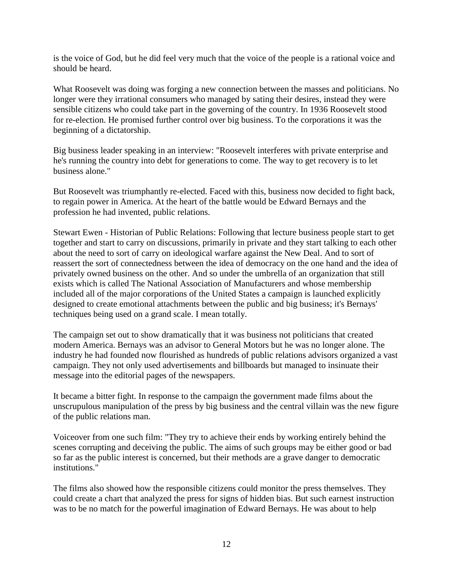is the voice of God, but he did feel very much that the voice of the people is a rational voice and should be heard.

What Roosevelt was doing was forging a new connection between the masses and politicians. No longer were they irrational consumers who managed by sating their desires, instead they were sensible citizens who could take part in the governing of the country. In 1936 Roosevelt stood for re-election. He promised further control over big business. To the corporations it was the beginning of a dictatorship.

Big business leader speaking in an interview: "Roosevelt interferes with private enterprise and he's running the country into debt for generations to come. The way to get recovery is to let business alone."

But Roosevelt was triumphantly re-elected. Faced with this, business now decided to fight back, to regain power in America. At the heart of the battle would be Edward Bernays and the profession he had invented, public relations.

Stewart Ewen - Historian of Public Relations: Following that lecture business people start to get together and start to carry on discussions, primarily in private and they start talking to each other about the need to sort of carry on ideological warfare against the New Deal. And to sort of reassert the sort of connectedness between the idea of democracy on the one hand and the idea of privately owned business on the other. And so under the umbrella of an organization that still exists which is called The National Association of Manufacturers and whose membership included all of the major corporations of the United States a campaign is launched explicitly designed to create emotional attachments between the public and big business; it's Bernays' techniques being used on a grand scale. I mean totally.

The campaign set out to show dramatically that it was business not politicians that created modern America. Bernays was an advisor to General Motors but he was no longer alone. The industry he had founded now flourished as hundreds of public relations advisors organized a vast campaign. They not only used advertisements and billboards but managed to insinuate their message into the editorial pages of the newspapers.

It became a bitter fight. In response to the campaign the government made films about the unscrupulous manipulation of the press by big business and the central villain was the new figure of the public relations man.

Voiceover from one such film: "They try to achieve their ends by working entirely behind the scenes corrupting and deceiving the public. The aims of such groups may be either good or bad so far as the public interest is concerned, but their methods are a grave danger to democratic institutions."

The films also showed how the responsible citizens could monitor the press themselves. They could create a chart that analyzed the press for signs of hidden bias. But such earnest instruction was to be no match for the powerful imagination of Edward Bernays. He was about to help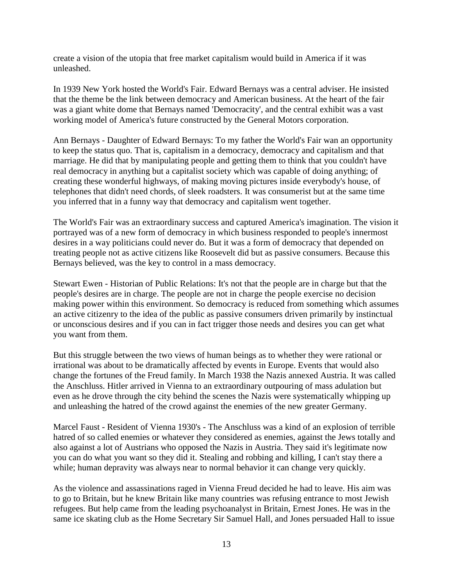create a vision of the utopia that free market capitalism would build in America if it was unleashed.

In 1939 New York hosted the World's Fair. Edward Bernays was a central adviser. He insisted that the theme be the link between democracy and American business. At the heart of the fair was a giant white dome that Bernays named 'Democracity', and the central exhibit was a vast working model of America's future constructed by the General Motors corporation.

Ann Bernays - Daughter of Edward Bernays: To my father the World's Fair wan an opportunity to keep the status quo. That is, capitalism in a democracy, democracy and capitalism and that marriage. He did that by manipulating people and getting them to think that you couldn't have real democracy in anything but a capitalist society which was capable of doing anything; of creating these wonderful highways, of making moving pictures inside everybody's house, of telephones that didn't need chords, of sleek roadsters. It was consumerist but at the same time you inferred that in a funny way that democracy and capitalism went together.

The World's Fair was an extraordinary success and captured America's imagination. The vision it portrayed was of a new form of democracy in which business responded to people's innermost desires in a way politicians could never do. But it was a form of democracy that depended on treating people not as active citizens like Roosevelt did but as passive consumers. Because this Bernays believed, was the key to control in a mass democracy.

Stewart Ewen - Historian of Public Relations: It's not that the people are in charge but that the people's desires are in charge. The people are not in charge the people exercise no decision making power within this environment. So democracy is reduced from something which assumes an active citizenry to the idea of the public as passive consumers driven primarily by instinctual or unconscious desires and if you can in fact trigger those needs and desires you can get what you want from them.

But this struggle between the two views of human beings as to whether they were rational or irrational was about to be dramatically affected by events in Europe. Events that would also change the fortunes of the Freud family. In March 1938 the Nazis annexed Austria. It was called the Anschluss. Hitler arrived in Vienna to an extraordinary outpouring of mass adulation but even as he drove through the city behind the scenes the Nazis were systematically whipping up and unleashing the hatred of the crowd against the enemies of the new greater Germany.

Marcel Faust - Resident of Vienna 1930's - The Anschluss was a kind of an explosion of terrible hatred of so called enemies or whatever they considered as enemies, against the Jews totally and also against a lot of Austrians who opposed the Nazis in Austria. They said it's legitimate now you can do what you want so they did it. Stealing and robbing and killing, I can't stay there a while; human depravity was always near to normal behavior it can change very quickly.

As the violence and assassinations raged in Vienna Freud decided he had to leave. His aim was to go to Britain, but he knew Britain like many countries was refusing entrance to most Jewish refugees. But help came from the leading psychoanalyst in Britain, Ernest Jones. He was in the same ice skating club as the Home Secretary Sir Samuel Hall, and Jones persuaded Hall to issue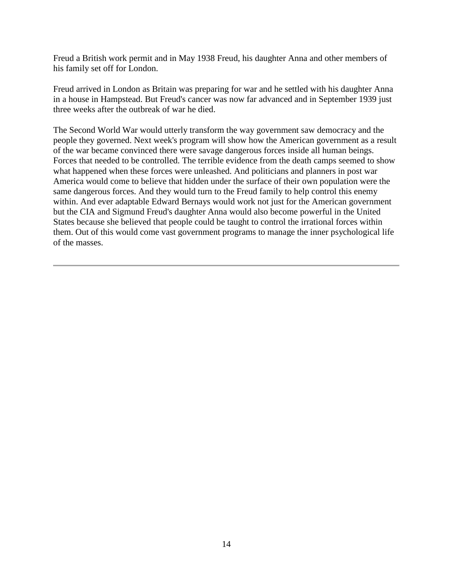Freud a British work permit and in May 1938 Freud, his daughter Anna and other members of his family set off for London.

Freud arrived in London as Britain was preparing for war and he settled with his daughter Anna in a house in Hampstead. But Freud's cancer was now far advanced and in September 1939 just three weeks after the outbreak of war he died.

The Second World War would utterly transform the way government saw democracy and the people they governed. Next week's program will show how the American government as a result of the war became convinced there were savage dangerous forces inside all human beings. Forces that needed to be controlled. The terrible evidence from the death camps seemed to show what happened when these forces were unleashed. And politicians and planners in post war America would come to believe that hidden under the surface of their own population were the same dangerous forces. And they would turn to the Freud family to help control this enemy within. And ever adaptable Edward Bernays would work not just for the American government but the CIA and Sigmund Freud's daughter Anna would also become powerful in the United States because she believed that people could be taught to control the irrational forces within them. Out of this would come vast government programs to manage the inner psychological life of the masses.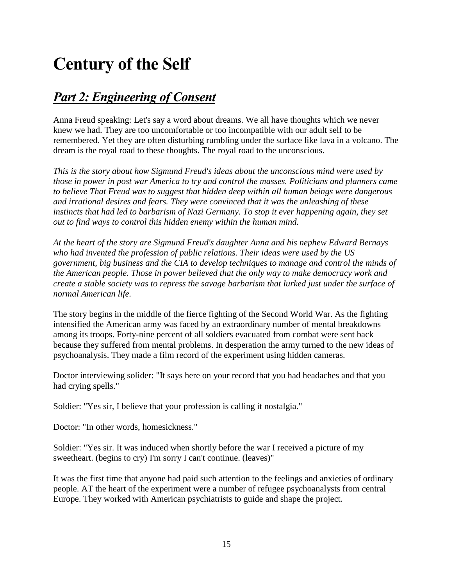# **Century of the Self**

### *Part 2: Engineering of Consent*

Anna Freud speaking: Let's say a word about dreams. We all have thoughts which we never knew we had. They are too uncomfortable or too incompatible with our adult self to be remembered. Yet they are often disturbing rumbling under the surface like lava in a volcano. The dream is the royal road to these thoughts. The royal road to the unconscious.

*This is the story about how Sigmund Freud's ideas about the unconscious mind were used by those in power in post war America to try and control the masses. Politicians and planners came to believe That Freud was to suggest that hidden deep within all human beings were dangerous and irrational desires and fears. They were convinced that it was the unleashing of these instincts that had led to barbarism of Nazi Germany. To stop it ever happening again, they set out to find ways to control this hidden enemy within the human mind.*

*At the heart of the story are Sigmund Freud's daughter Anna and his nephew Edward Bernays who had invented the profession of public relations. Their ideas were used by the US government, big business and the CIA to develop techniques to manage and control the minds of the American people. Those in power believed that the only way to make democracy work and create a stable society was to repress the savage barbarism that lurked just under the surface of normal American life.*

The story begins in the middle of the fierce fighting of the Second World War. As the fighting intensified the American army was faced by an extraordinary number of mental breakdowns among its troops. Forty-nine percent of all soldiers evacuated from combat were sent back because they suffered from mental problems. In desperation the army turned to the new ideas of psychoanalysis. They made a film record of the experiment using hidden cameras.

Doctor interviewing solider: "It says here on your record that you had headaches and that you had crying spells."

Soldier: "Yes sir, I believe that your profession is calling it nostalgia."

Doctor: "In other words, homesickness."

Soldier: "Yes sir. It was induced when shortly before the war I received a picture of my sweetheart. (begins to cry) I'm sorry I can't continue. (leaves)"

It was the first time that anyone had paid such attention to the feelings and anxieties of ordinary people. AT the heart of the experiment were a number of refugee psychoanalysts from central Europe. They worked with American psychiatrists to guide and shape the project.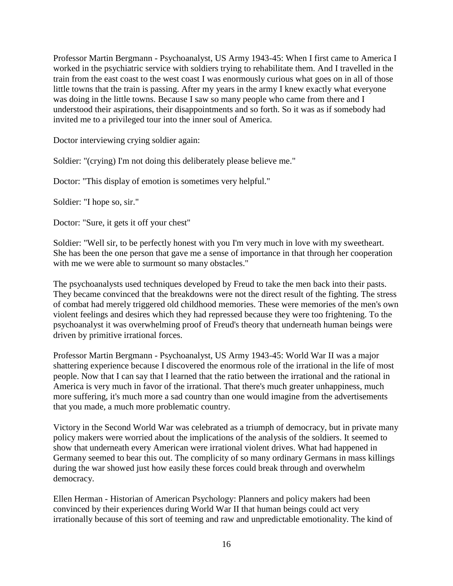Professor Martin Bergmann - Psychoanalyst, US Army 1943-45: When I first came to America I worked in the psychiatric service with soldiers trying to rehabilitate them. And I travelled in the train from the east coast to the west coast I was enormously curious what goes on in all of those little towns that the train is passing. After my years in the army I knew exactly what everyone was doing in the little towns. Because I saw so many people who came from there and I understood their aspirations, their disappointments and so forth. So it was as if somebody had invited me to a privileged tour into the inner soul of America.

Doctor interviewing crying soldier again:

Soldier: "(crying) I'm not doing this deliberately please believe me."

Doctor: "This display of emotion is sometimes very helpful."

Soldier: "I hope so, sir."

Doctor: "Sure, it gets it off your chest"

Soldier: "Well sir, to be perfectly honest with you I'm very much in love with my sweetheart. She has been the one person that gave me a sense of importance in that through her cooperation with me we were able to surmount so many obstacles."

The psychoanalysts used techniques developed by Freud to take the men back into their pasts. They became convinced that the breakdowns were not the direct result of the fighting. The stress of combat had merely triggered old childhood memories. These were memories of the men's own violent feelings and desires which they had repressed because they were too frightening. To the psychoanalyst it was overwhelming proof of Freud's theory that underneath human beings were driven by primitive irrational forces.

Professor Martin Bergmann - Psychoanalyst, US Army 1943-45: World War II was a major shattering experience because I discovered the enormous role of the irrational in the life of most people. Now that I can say that I learned that the ratio between the irrational and the rational in America is very much in favor of the irrational. That there's much greater unhappiness, much more suffering, it's much more a sad country than one would imagine from the advertisements that you made, a much more problematic country.

Victory in the Second World War was celebrated as a triumph of democracy, but in private many policy makers were worried about the implications of the analysis of the soldiers. It seemed to show that underneath every American were irrational violent drives. What had happened in Germany seemed to bear this out. The complicity of so many ordinary Germans in mass killings during the war showed just how easily these forces could break through and overwhelm democracy.

Ellen Herman - Historian of American Psychology: Planners and policy makers had been convinced by their experiences during World War II that human beings could act very irrationally because of this sort of teeming and raw and unpredictable emotionality. The kind of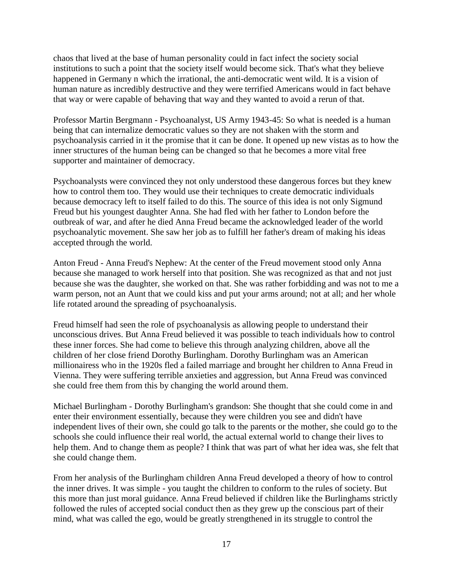chaos that lived at the base of human personality could in fact infect the society social institutions to such a point that the society itself would become sick. That's what they believe happened in Germany n which the irrational, the anti-democratic went wild. It is a vision of human nature as incredibly destructive and they were terrified Americans would in fact behave that way or were capable of behaving that way and they wanted to avoid a rerun of that.

Professor Martin Bergmann - Psychoanalyst, US Army 1943-45: So what is needed is a human being that can internalize democratic values so they are not shaken with the storm and psychoanalysis carried in it the promise that it can be done. It opened up new vistas as to how the inner structures of the human being can be changed so that he becomes a more vital free supporter and maintainer of democracy.

Psychoanalysts were convinced they not only understood these dangerous forces but they knew how to control them too. They would use their techniques to create democratic individuals because democracy left to itself failed to do this. The source of this idea is not only Sigmund Freud but his youngest daughter Anna. She had fled with her father to London before the outbreak of war, and after he died Anna Freud became the acknowledged leader of the world psychoanalytic movement. She saw her job as to fulfill her father's dream of making his ideas accepted through the world.

Anton Freud - Anna Freud's Nephew: At the center of the Freud movement stood only Anna because she managed to work herself into that position. She was recognized as that and not just because she was the daughter, she worked on that. She was rather forbidding and was not to me a warm person, not an Aunt that we could kiss and put your arms around; not at all; and her whole life rotated around the spreading of psychoanalysis.

Freud himself had seen the role of psychoanalysis as allowing people to understand their unconscious drives. But Anna Freud believed it was possible to teach individuals how to control these inner forces. She had come to believe this through analyzing children, above all the children of her close friend Dorothy Burlingham. Dorothy Burlingham was an American millionairess who in the 1920s fled a failed marriage and brought her children to Anna Freud in Vienna. They were suffering terrible anxieties and aggression, but Anna Freud was convinced she could free them from this by changing the world around them.

Michael Burlingham - Dorothy Burlingham's grandson: She thought that she could come in and enter their environment essentially, because they were children you see and didn't have independent lives of their own, she could go talk to the parents or the mother, she could go to the schools she could influence their real world, the actual external world to change their lives to help them. And to change them as people? I think that was part of what her idea was, she felt that she could change them.

From her analysis of the Burlingham children Anna Freud developed a theory of how to control the inner drives. It was simple - you taught the children to conform to the rules of society. But this more than just moral guidance. Anna Freud believed if children like the Burlinghams strictly followed the rules of accepted social conduct then as they grew up the conscious part of their mind, what was called the ego, would be greatly strengthened in its struggle to control the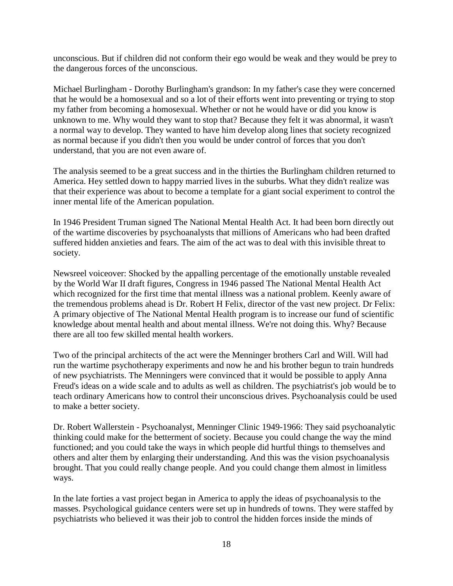unconscious. But if children did not conform their ego would be weak and they would be prey to the dangerous forces of the unconscious.

Michael Burlingham - Dorothy Burlingham's grandson: In my father's case they were concerned that he would be a homosexual and so a lot of their efforts went into preventing or trying to stop my father from becoming a homosexual. Whether or not he would have or did you know is unknown to me. Why would they want to stop that? Because they felt it was abnormal, it wasn't a normal way to develop. They wanted to have him develop along lines that society recognized as normal because if you didn't then you would be under control of forces that you don't understand, that you are not even aware of.

The analysis seemed to be a great success and in the thirties the Burlingham children returned to America. Hey settled down to happy married lives in the suburbs. What they didn't realize was that their experience was about to become a template for a giant social experiment to control the inner mental life of the American population.

In 1946 President Truman signed The National Mental Health Act. It had been born directly out of the wartime discoveries by psychoanalysts that millions of Americans who had been drafted suffered hidden anxieties and fears. The aim of the act was to deal with this invisible threat to society.

Newsreel voiceover: Shocked by the appalling percentage of the emotionally unstable revealed by the World War II draft figures, Congress in 1946 passed The National Mental Health Act which recognized for the first time that mental illness was a national problem. Keenly aware of the tremendous problems ahead is Dr. Robert H Felix, director of the vast new project. Dr Felix: A primary objective of The National Mental Health program is to increase our fund of scientific knowledge about mental health and about mental illness. We're not doing this. Why? Because there are all too few skilled mental health workers.

Two of the principal architects of the act were the Menninger brothers Carl and Will. Will had run the wartime psychotherapy experiments and now he and his brother begun to train hundreds of new psychiatrists. The Menningers were convinced that it would be possible to apply Anna Freud's ideas on a wide scale and to adults as well as children. The psychiatrist's job would be to teach ordinary Americans how to control their unconscious drives. Psychoanalysis could be used to make a better society.

Dr. Robert Wallerstein - Psychoanalyst, Menninger Clinic 1949-1966: They said psychoanalytic thinking could make for the betterment of society. Because you could change the way the mind functioned; and you could take the ways in which people did hurtful things to themselves and others and alter them by enlarging their understanding. And this was the vision psychoanalysis brought. That you could really change people. And you could change them almost in limitless ways.

In the late forties a vast project began in America to apply the ideas of psychoanalysis to the masses. Psychological guidance centers were set up in hundreds of towns. They were staffed by psychiatrists who believed it was their job to control the hidden forces inside the minds of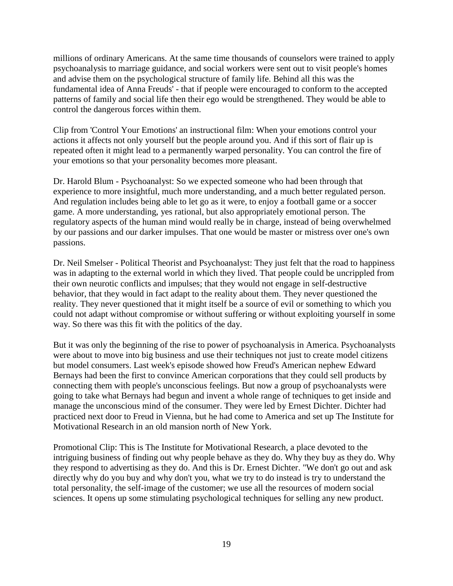millions of ordinary Americans. At the same time thousands of counselors were trained to apply psychoanalysis to marriage guidance, and social workers were sent out to visit people's homes and advise them on the psychological structure of family life. Behind all this was the fundamental idea of Anna Freuds' - that if people were encouraged to conform to the accepted patterns of family and social life then their ego would be strengthened. They would be able to control the dangerous forces within them.

Clip from 'Control Your Emotions' an instructional film: When your emotions control your actions it affects not only yourself but the people around you. And if this sort of flair up is repeated often it might lead to a permanently warped personality. You can control the fire of your emotions so that your personality becomes more pleasant.

Dr. Harold Blum - Psychoanalyst: So we expected someone who had been through that experience to more insightful, much more understanding, and a much better regulated person. And regulation includes being able to let go as it were, to enjoy a football game or a soccer game. A more understanding, yes rational, but also appropriately emotional person. The regulatory aspects of the human mind would really be in charge, instead of being overwhelmed by our passions and our darker impulses. That one would be master or mistress over one's own passions.

Dr. Neil Smelser - Political Theorist and Psychoanalyst: They just felt that the road to happiness was in adapting to the external world in which they lived. That people could be uncrippled from their own neurotic conflicts and impulses; that they would not engage in self-destructive behavior, that they would in fact adapt to the reality about them. They never questioned the reality. They never questioned that it might itself be a source of evil or something to which you could not adapt without compromise or without suffering or without exploiting yourself in some way. So there was this fit with the politics of the day.

But it was only the beginning of the rise to power of psychoanalysis in America. Psychoanalysts were about to move into big business and use their techniques not just to create model citizens but model consumers. Last week's episode showed how Freud's American nephew Edward Bernays had been the first to convince American corporations that they could sell products by connecting them with people's unconscious feelings. But now a group of psychoanalysts were going to take what Bernays had begun and invent a whole range of techniques to get inside and manage the unconscious mind of the consumer. They were led by Ernest Dichter. Dichter had practiced next door to Freud in Vienna, but he had come to America and set up The Institute for Motivational Research in an old mansion north of New York.

Promotional Clip: This is The Institute for Motivational Research, a place devoted to the intriguing business of finding out why people behave as they do. Why they buy as they do. Why they respond to advertising as they do. And this is Dr. Ernest Dichter. "We don't go out and ask directly why do you buy and why don't you, what we try to do instead is try to understand the total personality, the self-image of the customer; we use all the resources of modern social sciences. It opens up some stimulating psychological techniques for selling any new product.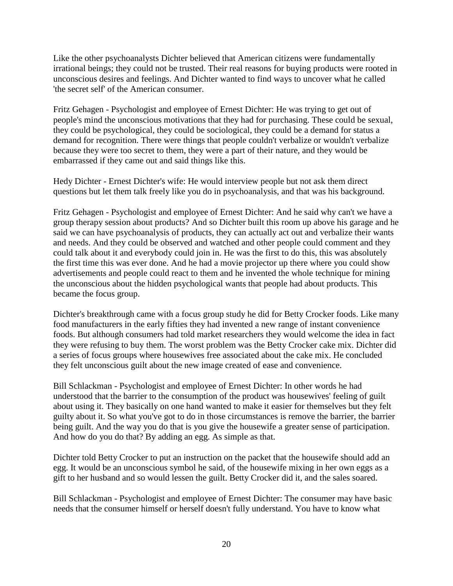Like the other psychoanalysts Dichter believed that American citizens were fundamentally irrational beings; they could not be trusted. Their real reasons for buying products were rooted in unconscious desires and feelings. And Dichter wanted to find ways to uncover what he called 'the secret self' of the American consumer.

Fritz Gehagen - Psychologist and employee of Ernest Dichter: He was trying to get out of people's mind the unconscious motivations that they had for purchasing. These could be sexual, they could be psychological, they could be sociological, they could be a demand for status a demand for recognition. There were things that people couldn't verbalize or wouldn't verbalize because they were too secret to them, they were a part of their nature, and they would be embarrassed if they came out and said things like this.

Hedy Dichter - Ernest Dichter's wife: He would interview people but not ask them direct questions but let them talk freely like you do in psychoanalysis, and that was his background.

Fritz Gehagen - Psychologist and employee of Ernest Dichter: And he said why can't we have a group therapy session about products? And so Dichter built this room up above his garage and he said we can have psychoanalysis of products, they can actually act out and verbalize their wants and needs. And they could be observed and watched and other people could comment and they could talk about it and everybody could join in. He was the first to do this, this was absolutely the first time this was ever done. And he had a movie projector up there where you could show advertisements and people could react to them and he invented the whole technique for mining the unconscious about the hidden psychological wants that people had about products. This became the focus group.

Dichter's breakthrough came with a focus group study he did for Betty Crocker foods. Like many food manufacturers in the early fifties they had invented a new range of instant convenience foods. But although consumers had told market researchers they would welcome the idea in fact they were refusing to buy them. The worst problem was the Betty Crocker cake mix. Dichter did a series of focus groups where housewives free associated about the cake mix. He concluded they felt unconscious guilt about the new image created of ease and convenience.

Bill Schlackman - Psychologist and employee of Ernest Dichter: In other words he had understood that the barrier to the consumption of the product was housewives' feeling of guilt about using it. They basically on one hand wanted to make it easier for themselves but they felt guilty about it. So what you've got to do in those circumstances is remove the barrier, the barrier being guilt. And the way you do that is you give the housewife a greater sense of participation. And how do you do that? By adding an egg. As simple as that.

Dichter told Betty Crocker to put an instruction on the packet that the housewife should add an egg. It would be an unconscious symbol he said, of the housewife mixing in her own eggs as a gift to her husband and so would lessen the guilt. Betty Crocker did it, and the sales soared.

Bill Schlackman - Psychologist and employee of Ernest Dichter: The consumer may have basic needs that the consumer himself or herself doesn't fully understand. You have to know what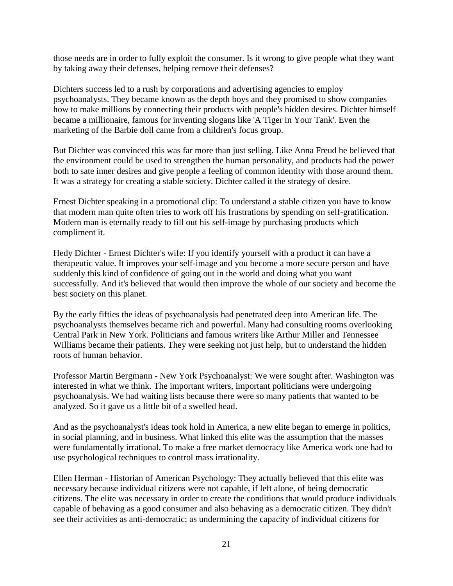those needs are in order to fully exploit the consumer. Is it wrong to give people what they want by taking away their defenses, helping remove their defenses?

Dichters success led to a rush by corporations and advertising agencies to employ psychoanalysts. They became known as the depth boys and they promised to show companies how to make millions by connecting their products with people's hidden desires. Dichter himself became a millionaire, famous for inventing slogans like 'A Tiger in Your Tank'. Even the marketing of the Barbie doll came from a children's focus group.

But Dichter was convinced this was far more than just selling. Like Anna Freud he believed that the environment could be used to strengthen the human personality, and products had the power both to sate inner desires and give people a feeling of common identity with those around them. It was a strategy for creating a stable society. Dichter called it the strategy of desire.

Ernest Dichter speaking in a promotional clip: To understand a stable citizen you have to know that modern man quite often tries to work off his frustrations by spending on self-gratification. Modern man is eternally ready to fill out his self-image by purchasing products which compliment it.

Hedy Dichter - Ernest Dichter's wife: If you identify yourself with a product it can have a therapeutic value. It improves your self-image and you become a more secure person and have suddenly this kind of confidence of going out in the world and doing what you want successfully. And it's believed that would then improve the whole of our society and become the best society on this planet.

By the early fifties the ideas of psychoanalysis had penetrated deep into American life. The psychoanalysts themselves became rich and powerful. Many had consulting rooms overlooking Central Park in New York. Politicians and famous writers like Arthur Miller and Tennessee Williams became their patients. They were seeking not just help, but to understand the hidden roots of human behavior.

Professor Martin Bergmann - New York Psychoanalyst: We were sought after. Washington was interested in what we think. The important writers, important politicians were undergoing psychoanalysis. We had waiting lists because there were so many patients that wanted to be analyzed. So it gave us a little bit of a swelled head.

And as the psychoanalyst's ideas took hold in America, a new elite began to emerge in politics, in social planning, and in business. What linked this elite was the assumption that the masses were fundamentally irrational. To make a free market democracy like America work one had to use psychological techniques to control mass irrationality.

Ellen Herman - Historian of American Psychology: They actually believed that this elite was necessary because individual citizens were not capable, if left alone, of being democratic citizens. The elite was necessary in order to create the conditions that would produce individuals capable of behaving as a good consumer and also behaving as a democratic citizen. They didn't see their activities as anti-democratic; as undermining the capacity of individual citizens for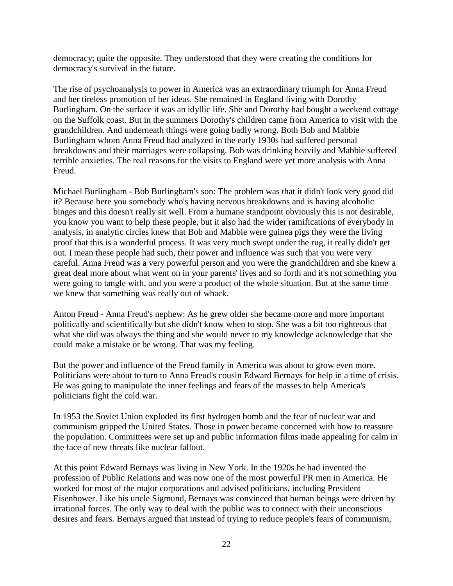democracy; quite the opposite. They understood that they were creating the conditions for democracy's survival in the future.

The rise of psychoanalysis to power in America was an extraordinary triumph for Anna Freud and her tireless promotion of her ideas. She remained in England living with Dorothy Burlingham. On the surface it was an idyllic life. She and Dorothy had bought a weekend cottage on the Suffolk coast. But in the summers Dorothy's children came from America to visit with the grandchildren. And underneath things were going badly wrong. Both Bob and Mabbie Burlingham whom Anna Freud had analyzed in the early 1930s had suffered personal breakdowns and their marriages were collapsing. Bob was drinking heavily and Mabbie suffered terrible anxieties. The real reasons for the visits to England were yet more analysis with Anna Freud.

Michael Burlingham - Bob Burlingham's son: The problem was that it didn't look very good did it? Because here you somebody who's having nervous breakdowns and is having alcoholic binges and this doesn't really sit well. From a humane standpoint obviously this is not desirable, you know you want to help these people, but it also had the wider ramifications of everybody in analysis, in analytic circles knew that Bob and Mabbie were guinea pigs they were the living proof that this is a wonderful process. It was very much swept under the rug, it really didn't get out. I mean these people had such, their power and influence was such that you were very careful. Anna Freud was a very powerful person and you were the grandchildren and she knew a great deal more about what went on in your parents' lives and so forth and it's not something you were going to tangle with, and you were a product of the whole situation. But at the same time we knew that something was really out of whack.

Anton Freud - Anna Freud's nephew: As he grew older she became more and more important politically and scientifically but she didn't know when to stop. She was a bit too righteous that what she did was always the thing and she would never to my knowledge acknowledge that she could make a mistake or be wrong. That was my feeling.

But the power and influence of the Freud family in America was about to grow even more. Politicians were about to turn to Anna Freud's cousin Edward Bernays for help in a time of crisis. He was going to manipulate the inner feelings and fears of the masses to help America's politicians fight the cold war.

In 1953 the Soviet Union exploded its first hydrogen bomb and the fear of nuclear war and communism gripped the United States. Those in power became concerned with how to reassure the population. Committees were set up and public information films made appealing for calm in the face of new threats like nuclear fallout.

At this point Edward Bernays was living in New York. In the 1920s he had invented the profession of Public Relations and was now one of the most powerful PR men in America. He worked for most of the major corporations and advised politicians, including President Eisenhower. Like his uncle Sigmund, Bernays was convinced that human beings were driven by irrational forces. The only way to deal with the public was to connect with their unconscious desires and fears. Bernays argued that instead of trying to reduce people's fears of communism,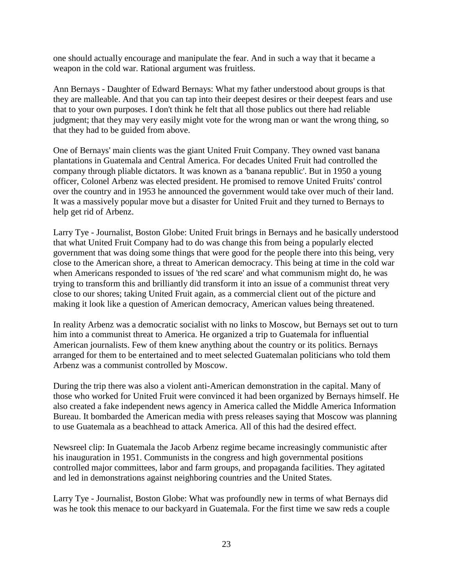one should actually encourage and manipulate the fear. And in such a way that it became a weapon in the cold war. Rational argument was fruitless.

Ann Bernays - Daughter of Edward Bernays: What my father understood about groups is that they are malleable. And that you can tap into their deepest desires or their deepest fears and use that to your own purposes. I don't think he felt that all those publics out there had reliable judgment; that they may very easily might vote for the wrong man or want the wrong thing, so that they had to be guided from above.

One of Bernays' main clients was the giant United Fruit Company. They owned vast banana plantations in Guatemala and Central America. For decades United Fruit had controlled the company through pliable dictators. It was known as a 'banana republic'. But in 1950 a young officer, Colonel Arbenz was elected president. He promised to remove United Fruits' control over the country and in 1953 he announced the government would take over much of their land. It was a massively popular move but a disaster for United Fruit and they turned to Bernays to help get rid of Arbenz.

Larry Tye - Journalist, Boston Globe: United Fruit brings in Bernays and he basically understood that what United Fruit Company had to do was change this from being a popularly elected government that was doing some things that were good for the people there into this being, very close to the American shore, a threat to American democracy. This being at time in the cold war when Americans responded to issues of 'the red scare' and what communism might do, he was trying to transform this and brilliantly did transform it into an issue of a communist threat very close to our shores; taking United Fruit again, as a commercial client out of the picture and making it look like a question of American democracy, American values being threatened.

In reality Arbenz was a democratic socialist with no links to Moscow, but Bernays set out to turn him into a communist threat to America. He organized a trip to Guatemala for influential American journalists. Few of them knew anything about the country or its politics. Bernays arranged for them to be entertained and to meet selected Guatemalan politicians who told them Arbenz was a communist controlled by Moscow.

During the trip there was also a violent anti-American demonstration in the capital. Many of those who worked for United Fruit were convinced it had been organized by Bernays himself. He also created a fake independent news agency in America called the Middle America Information Bureau. It bombarded the American media with press releases saying that Moscow was planning to use Guatemala as a beachhead to attack America. All of this had the desired effect.

Newsreel clip: In Guatemala the Jacob Arbenz regime became increasingly communistic after his inauguration in 1951. Communists in the congress and high governmental positions controlled major committees, labor and farm groups, and propaganda facilities. They agitated and led in demonstrations against neighboring countries and the United States.

Larry Tye - Journalist, Boston Globe: What was profoundly new in terms of what Bernays did was he took this menace to our backyard in Guatemala. For the first time we saw reds a couple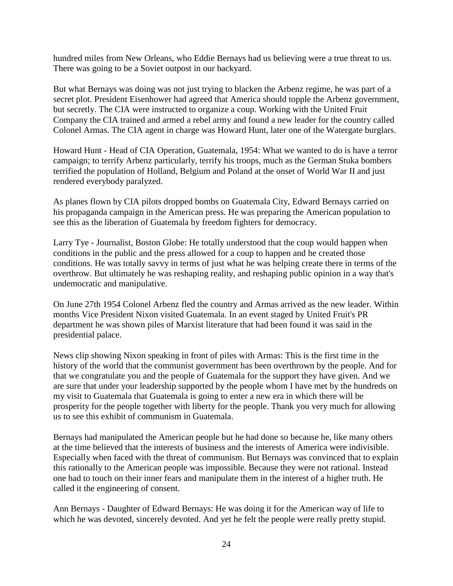hundred miles from New Orleans, who Eddie Bernays had us believing were a true threat to us. There was going to be a Soviet outpost in our backyard.

But what Bernays was doing was not just trying to blacken the Arbenz regime, he was part of a secret plot. President Eisenhower had agreed that America should topple the Arbenz government, but secretly. The CIA were instructed to organize a coup. Working with the United Fruit Company the CIA trained and armed a rebel army and found a new leader for the country called Colonel Armas. The CIA agent in charge was Howard Hunt, later one of the Watergate burglars.

Howard Hunt - Head of CIA Operation, Guatemala, 1954: What we wanted to do is have a terror campaign; to terrify Arbenz particularly, terrify his troops, much as the German Stuka bombers terrified the population of Holland, Belgium and Poland at the onset of World War II and just rendered everybody paralyzed.

As planes flown by CIA pilots dropped bombs on Guatemala City, Edward Bernays carried on his propaganda campaign in the American press. He was preparing the American population to see this as the liberation of Guatemala by freedom fighters for democracy.

Larry Tye - Journalist, Boston Globe: He totally understood that the coup would happen when conditions in the public and the press allowed for a coup to happen and he created those conditions. He was totally savvy in terms of just what he was helping create there in terms of the overthrow. But ultimately he was reshaping reality, and reshaping public opinion in a way that's undemocratic and manipulative.

On June 27th 1954 Colonel Arbenz fled the country and Armas arrived as the new leader. Within months Vice President Nixon visited Guatemala. In an event staged by United Fruit's PR department he was shown piles of Marxist literature that had been found it was said in the presidential palace.

News clip showing Nixon speaking in front of piles with Armas: This is the first time in the history of the world that the communist government has been overthrown by the people. And for that we congratulate you and the people of Guatemala for the support they have given. And we are sure that under your leadership supported by the people whom I have met by the hundreds on my visit to Guatemala that Guatemala is going to enter a new era in which there will be prosperity for the people together with liberty for the people. Thank you very much for allowing us to see this exhibit of communism in Guatemala.

Bernays had manipulated the American people but he had done so because he, like many others at the time believed that the interests of business and the interests of America were indivisible. Especially when faced with the threat of communism. But Bernays was convinced that to explain this rationally to the American people was impossible. Because they were not rational. Instead one had to touch on their inner fears and manipulate them in the interest of a higher truth. He called it the engineering of consent.

Ann Bernays - Daughter of Edward Bernays: He was doing it for the American way of life to which he was devoted, sincerely devoted. And yet he felt the people were really pretty stupid.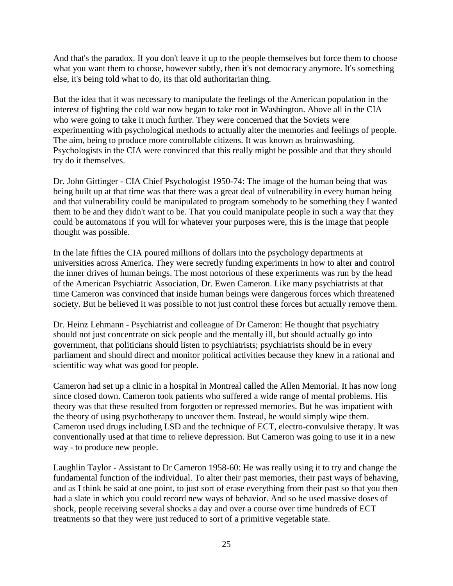And that's the paradox. If you don't leave it up to the people themselves but force them to choose what you want them to choose, however subtly, then it's not democracy anymore. It's something else, it's being told what to do, its that old authoritarian thing.

But the idea that it was necessary to manipulate the feelings of the American population in the interest of fighting the cold war now began to take root in Washington. Above all in the CIA who were going to take it much further. They were concerned that the Soviets were experimenting with psychological methods to actually alter the memories and feelings of people. The aim, being to produce more controllable citizens. It was known as brainwashing. Psychologists in the CIA were convinced that this really might be possible and that they should try do it themselves.

Dr. John Gittinger - CIA Chief Psychologist 1950-74: The image of the human being that was being built up at that time was that there was a great deal of vulnerability in every human being and that vulnerability could be manipulated to program somebody to be something they I wanted them to be and they didn't want to be. That you could manipulate people in such a way that they could be automatons if you will for whatever your purposes were, this is the image that people thought was possible.

In the late fifties the CIA poured millions of dollars into the psychology departments at universities across America. They were secretly funding experiments in how to alter and control the inner drives of human beings. The most notorious of these experiments was run by the head of the American Psychiatric Association, Dr. Ewen Cameron. Like many psychiatrists at that time Cameron was convinced that inside human beings were dangerous forces which threatened society. But he believed it was possible to not just control these forces but actually remove them.

Dr. Heinz Lehmann - Psychiatrist and colleague of Dr Cameron: He thought that psychiatry should not just concentrate on sick people and the mentally ill, but should actually go into government, that politicians should listen to psychiatrists; psychiatrists should be in every parliament and should direct and monitor political activities because they knew in a rational and scientific way what was good for people.

Cameron had set up a clinic in a hospital in Montreal called the Allen Memorial. It has now long since closed down. Cameron took patients who suffered a wide range of mental problems. His theory was that these resulted from forgotten or repressed memories. But he was impatient with the theory of using psychotherapy to uncover them. Instead, he would simply wipe them. Cameron used drugs including LSD and the technique of ECT, electro-convulsive therapy. It was conventionally used at that time to relieve depression. But Cameron was going to use it in a new way - to produce new people.

Laughlin Taylor - Assistant to Dr Cameron 1958-60: He was really using it to try and change the fundamental function of the individual. To alter their past memories, their past ways of behaving, and as I think he said at one point, to just sort of erase everything from their past so that you then had a slate in which you could record new ways of behavior. And so he used massive doses of shock, people receiving several shocks a day and over a course over time hundreds of ECT treatments so that they were just reduced to sort of a primitive vegetable state.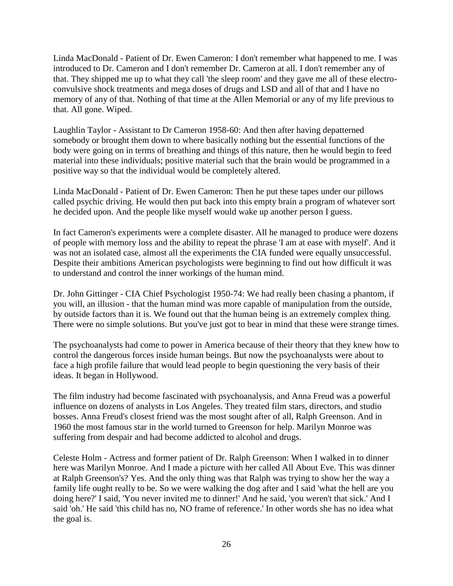Linda MacDonald - Patient of Dr. Ewen Cameron: I don't remember what happened to me. I was introduced to Dr. Cameron and I don't remember Dr. Cameron at all. I don't remember any of that. They shipped me up to what they call 'the sleep room' and they gave me all of these electroconvulsive shock treatments and mega doses of drugs and LSD and all of that and I have no memory of any of that. Nothing of that time at the Allen Memorial or any of my life previous to that. All gone. Wiped.

Laughlin Taylor - Assistant to Dr Cameron 1958-60: And then after having depatterned somebody or brought them down to where basically nothing but the essential functions of the body were going on in terms of breathing and things of this nature, then he would begin to feed material into these individuals; positive material such that the brain would be programmed in a positive way so that the individual would be completely altered.

Linda MacDonald - Patient of Dr. Ewen Cameron: Then he put these tapes under our pillows called psychic driving. He would then put back into this empty brain a program of whatever sort he decided upon. And the people like myself would wake up another person I guess.

In fact Cameron's experiments were a complete disaster. All he managed to produce were dozens of people with memory loss and the ability to repeat the phrase 'I am at ease with myself'. And it was not an isolated case, almost all the experiments the CIA funded were equally unsuccessful. Despite their ambitions American psychologists were beginning to find out how difficult it was to understand and control the inner workings of the human mind.

Dr. John Gittinger - CIA Chief Psychologist 1950-74: We had really been chasing a phantom, if you will, an illusion - that the human mind was more capable of manipulation from the outside, by outside factors than it is. We found out that the human being is an extremely complex thing. There were no simple solutions. But you've just got to bear in mind that these were strange times.

The psychoanalysts had come to power in America because of their theory that they knew how to control the dangerous forces inside human beings. But now the psychoanalysts were about to face a high profile failure that would lead people to begin questioning the very basis of their ideas. It began in Hollywood.

The film industry had become fascinated with psychoanalysis, and Anna Freud was a powerful influence on dozens of analysts in Los Angeles. They treated film stars, directors, and studio bosses. Anna Freud's closest friend was the most sought after of all, Ralph Greenson. And in 1960 the most famous star in the world turned to Greenson for help. Marilyn Monroe was suffering from despair and had become addicted to alcohol and drugs.

Celeste Holm - Actress and former patient of Dr. Ralph Greenson: When I walked in to dinner here was Marilyn Monroe. And I made a picture with her called All About Eve. This was dinner at Ralph Greenson's? Yes. And the only thing was that Ralph was trying to show her the way a family life ought really to be. So we were walking the dog after and I said 'what the hell are you doing here?' I said, 'You never invited me to dinner!' And he said, 'you weren't that sick.' And I said 'oh.' He said 'this child has no, NO frame of reference.' In other words she has no idea what the goal is.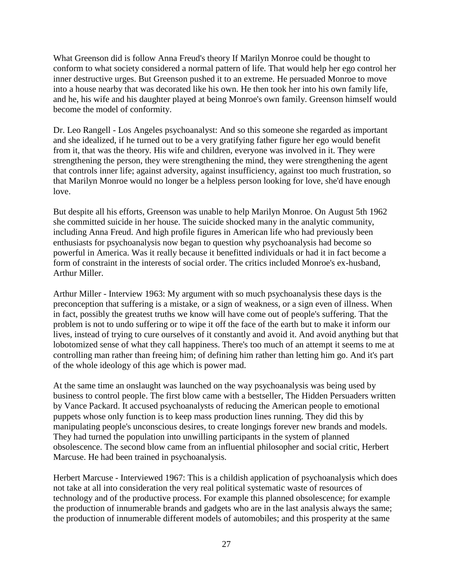What Greenson did is follow Anna Freud's theory If Marilyn Monroe could be thought to conform to what society considered a normal pattern of life. That would help her ego control her inner destructive urges. But Greenson pushed it to an extreme. He persuaded Monroe to move into a house nearby that was decorated like his own. He then took her into his own family life, and he, his wife and his daughter played at being Monroe's own family. Greenson himself would become the model of conformity.

Dr. Leo Rangell - Los Angeles psychoanalyst: And so this someone she regarded as important and she idealized, if he turned out to be a very gratifying father figure her ego would benefit from it, that was the theory. His wife and children, everyone was involved in it. They were strengthening the person, they were strengthening the mind, they were strengthening the agent that controls inner life; against adversity, against insufficiency, against too much frustration, so that Marilyn Monroe would no longer be a helpless person looking for love, she'd have enough love.

But despite all his efforts, Greenson was unable to help Marilyn Monroe. On August 5th 1962 she committed suicide in her house. The suicide shocked many in the analytic community, including Anna Freud. And high profile figures in American life who had previously been enthusiasts for psychoanalysis now began to question why psychoanalysis had become so powerful in America. Was it really because it benefitted individuals or had it in fact become a form of constraint in the interests of social order. The critics included Monroe's ex-husband, Arthur Miller.

Arthur Miller - Interview 1963: My argument with so much psychoanalysis these days is the preconception that suffering is a mistake, or a sign of weakness, or a sign even of illness. When in fact, possibly the greatest truths we know will have come out of people's suffering. That the problem is not to undo suffering or to wipe it off the face of the earth but to make it inform our lives, instead of trying to cure ourselves of it constantly and avoid it. And avoid anything but that lobotomized sense of what they call happiness. There's too much of an attempt it seems to me at controlling man rather than freeing him; of defining him rather than letting him go. And it's part of the whole ideology of this age which is power mad.

At the same time an onslaught was launched on the way psychoanalysis was being used by business to control people. The first blow came with a bestseller, The Hidden Persuaders written by Vance Packard. It accused psychoanalysts of reducing the American people to emotional puppets whose only function is to keep mass production lines running. They did this by manipulating people's unconscious desires, to create longings forever new brands and models. They had turned the population into unwilling participants in the system of planned obsolescence. The second blow came from an influential philosopher and social critic, Herbert Marcuse. He had been trained in psychoanalysis.

Herbert Marcuse - Interviewed 1967: This is a childish application of psychoanalysis which does not take at all into consideration the very real political systematic waste of resources of technology and of the productive process. For example this planned obsolescence; for example the production of innumerable brands and gadgets who are in the last analysis always the same; the production of innumerable different models of automobiles; and this prosperity at the same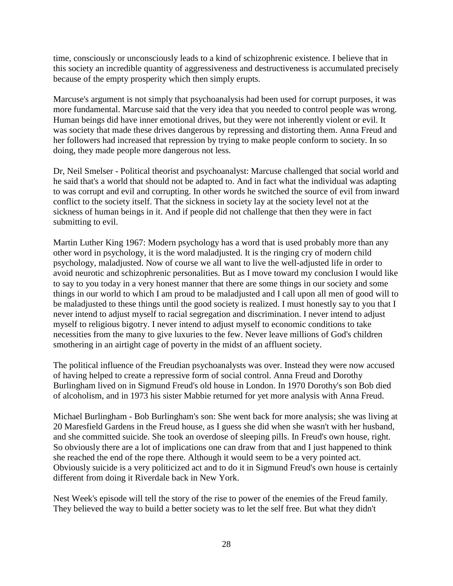time, consciously or unconsciously leads to a kind of schizophrenic existence. I believe that in this society an incredible quantity of aggressiveness and destructiveness is accumulated precisely because of the empty prosperity which then simply erupts.

Marcuse's argument is not simply that psychoanalysis had been used for corrupt purposes, it was more fundamental. Marcuse said that the very idea that you needed to control people was wrong. Human beings did have inner emotional drives, but they were not inherently violent or evil. It was society that made these drives dangerous by repressing and distorting them. Anna Freud and her followers had increased that repression by trying to make people conform to society. In so doing, they made people more dangerous not less.

Dr, Neil Smelser - Political theorist and psychoanalyst: Marcuse challenged that social world and he said that's a world that should not be adapted to. And in fact what the individual was adapting to was corrupt and evil and corrupting. In other words he switched the source of evil from inward conflict to the society itself. That the sickness in society lay at the society level not at the sickness of human beings in it. And if people did not challenge that then they were in fact submitting to evil.

Martin Luther King 1967: Modern psychology has a word that is used probably more than any other word in psychology, it is the word maladjusted. It is the ringing cry of modern child psychology, maladjusted. Now of course we all want to live the well-adjusted life in order to avoid neurotic and schizophrenic personalities. But as I move toward my conclusion I would like to say to you today in a very honest manner that there are some things in our society and some things in our world to which I am proud to be maladjusted and I call upon all men of good will to be maladjusted to these things until the good society is realized. I must honestly say to you that I never intend to adjust myself to racial segregation and discrimination. I never intend to adjust myself to religious bigotry. I never intend to adjust myself to economic conditions to take necessities from the many to give luxuries to the few. Never leave millions of God's children smothering in an airtight cage of poverty in the midst of an affluent society.

The political influence of the Freudian psychoanalysts was over. Instead they were now accused of having helped to create a repressive form of social control. Anna Freud and Dorothy Burlingham lived on in Sigmund Freud's old house in London. In 1970 Dorothy's son Bob died of alcoholism, and in 1973 his sister Mabbie returned for yet more analysis with Anna Freud.

Michael Burlingham - Bob Burlingham's son: She went back for more analysis; she was living at 20 Maresfield Gardens in the Freud house, as I guess she did when she wasn't with her husband, and she committed suicide. She took an overdose of sleeping pills. In Freud's own house, right. So obviously there are a lot of implications one can draw from that and I just happened to think she reached the end of the rope there. Although it would seem to be a very pointed act. Obviously suicide is a very politicized act and to do it in Sigmund Freud's own house is certainly different from doing it Riverdale back in New York.

Nest Week's episode will tell the story of the rise to power of the enemies of the Freud family. They believed the way to build a better society was to let the self free. But what they didn't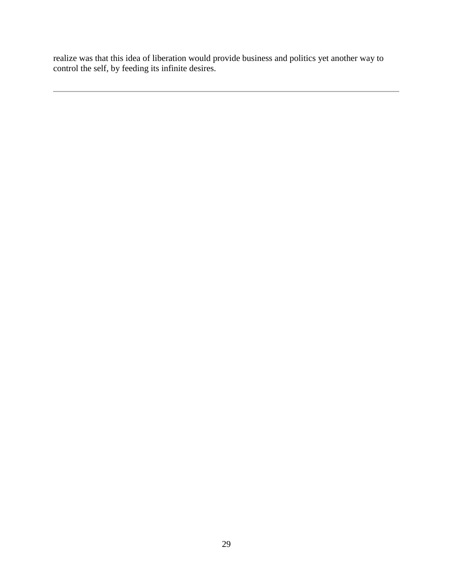realize was that this idea of liberation would provide business and politics yet another way to control the self, by feeding its infinite desires.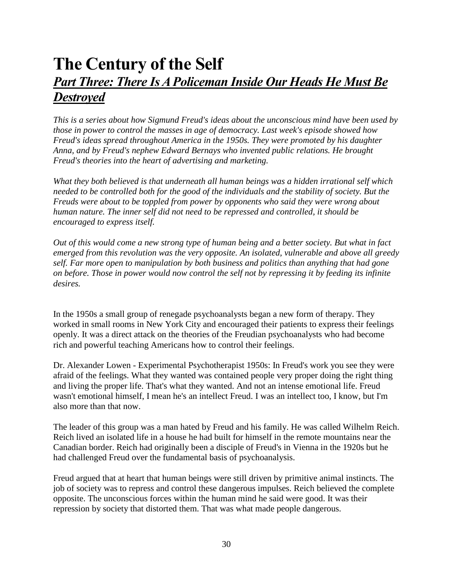### **The Century of the Self** *Part Three: There Is A Policeman Inside Our Heads He Must Be Destroyed*

*This is a series about how Sigmund Freud's ideas about the unconscious mind have been used by those in power to control the masses in age of democracy. Last week's episode showed how Freud's ideas spread throughout America in the 1950s. They were promoted by his daughter Anna, and by Freud's nephew Edward Bernays who invented public relations. He brought Freud's theories into the heart of advertising and marketing.*

*What they both believed is that underneath all human beings was a hidden irrational self which needed to be controlled both for the good of the individuals and the stability of society. But the Freuds were about to be toppled from power by opponents who said they were wrong about human nature. The inner self did not need to be repressed and controlled, it should be encouraged to express itself.*

*Out of this would come a new strong type of human being and a better society. But what in fact emerged from this revolution was the very opposite. An isolated, vulnerable and above all greedy self. Far more open to manipulation by both business and politics than anything that had gone on before. Those in power would now control the self not by repressing it by feeding its infinite desires.*

In the 1950s a small group of renegade psychoanalysts began a new form of therapy. They worked in small rooms in New York City and encouraged their patients to express their feelings openly. It was a direct attack on the theories of the Freudian psychoanalysts who had become rich and powerful teaching Americans how to control their feelings.

Dr. Alexander Lowen - Experimental Psychotherapist 1950s: In Freud's work you see they were afraid of the feelings. What they wanted was contained people very proper doing the right thing and living the proper life. That's what they wanted. And not an intense emotional life. Freud wasn't emotional himself, I mean he's an intellect Freud. I was an intellect too, I know, but I'm also more than that now.

The leader of this group was a man hated by Freud and his family. He was called Wilhelm Reich. Reich lived an isolated life in a house he had built for himself in the remote mountains near the Canadian border. Reich had originally been a disciple of Freud's in Vienna in the 1920s but he had challenged Freud over the fundamental basis of psychoanalysis.

Freud argued that at heart that human beings were still driven by primitive animal instincts. The job of society was to repress and control these dangerous impulses. Reich believed the complete opposite. The unconscious forces within the human mind he said were good. It was their repression by society that distorted them. That was what made people dangerous.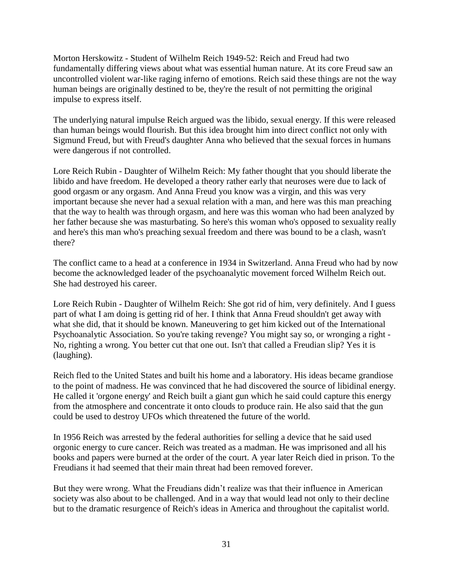Morton Herskowitz - Student of Wilhelm Reich 1949-52: Reich and Freud had two fundamentally differing views about what was essential human nature. At its core Freud saw an uncontrolled violent war-like raging inferno of emotions. Reich said these things are not the way human beings are originally destined to be, they're the result of not permitting the original impulse to express itself.

The underlying natural impulse Reich argued was the libido, sexual energy. If this were released than human beings would flourish. But this idea brought him into direct conflict not only with Sigmund Freud, but with Freud's daughter Anna who believed that the sexual forces in humans were dangerous if not controlled.

Lore Reich Rubin - Daughter of Wilhelm Reich: My father thought that you should liberate the libido and have freedom. He developed a theory rather early that neuroses were due to lack of good orgasm or any orgasm. And Anna Freud you know was a virgin, and this was very important because she never had a sexual relation with a man, and here was this man preaching that the way to health was through orgasm, and here was this woman who had been analyzed by her father because she was masturbating. So here's this woman who's opposed to sexuality really and here's this man who's preaching sexual freedom and there was bound to be a clash, wasn't there?

The conflict came to a head at a conference in 1934 in Switzerland. Anna Freud who had by now become the acknowledged leader of the psychoanalytic movement forced Wilhelm Reich out. She had destroyed his career.

Lore Reich Rubin - Daughter of Wilhelm Reich: She got rid of him, very definitely. And I guess part of what I am doing is getting rid of her. I think that Anna Freud shouldn't get away with what she did, that it should be known. Maneuvering to get him kicked out of the International Psychoanalytic Association. So you're taking revenge? You might say so, or wronging a right - No, righting a wrong. You better cut that one out. Isn't that called a Freudian slip? Yes it is (laughing).

Reich fled to the United States and built his home and a laboratory. His ideas became grandiose to the point of madness. He was convinced that he had discovered the source of libidinal energy. He called it 'orgone energy' and Reich built a giant gun which he said could capture this energy from the atmosphere and concentrate it onto clouds to produce rain. He also said that the gun could be used to destroy UFOs which threatened the future of the world.

In 1956 Reich was arrested by the federal authorities for selling a device that he said used orgonic energy to cure cancer. Reich was treated as a madman. He was imprisoned and all his books and papers were burned at the order of the court. A year later Reich died in prison. To the Freudians it had seemed that their main threat had been removed forever.

But they were wrong. What the Freudians didn't realize was that their influence in American society was also about to be challenged. And in a way that would lead not only to their decline but to the dramatic resurgence of Reich's ideas in America and throughout the capitalist world.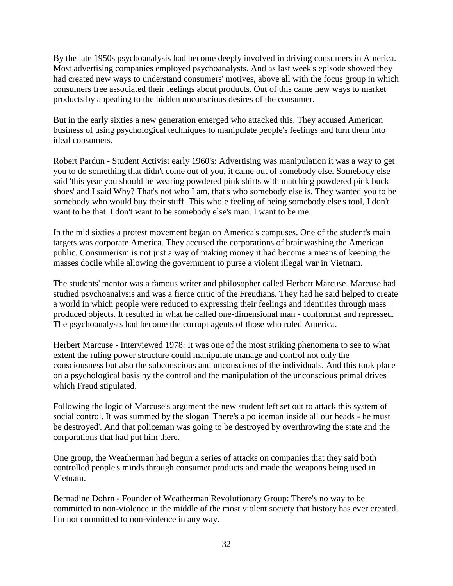By the late 1950s psychoanalysis had become deeply involved in driving consumers in America. Most advertising companies employed psychoanalysts. And as last week's episode showed they had created new ways to understand consumers' motives, above all with the focus group in which consumers free associated their feelings about products. Out of this came new ways to market products by appealing to the hidden unconscious desires of the consumer.

But in the early sixties a new generation emerged who attacked this. They accused American business of using psychological techniques to manipulate people's feelings and turn them into ideal consumers.

Robert Pardun - Student Activist early 1960's: Advertising was manipulation it was a way to get you to do something that didn't come out of you, it came out of somebody else. Somebody else said 'this year you should be wearing powdered pink shirts with matching powdered pink buck shoes' and I said Why? That's not who I am, that's who somebody else is. They wanted you to be somebody who would buy their stuff. This whole feeling of being somebody else's tool, I don't want to be that. I don't want to be somebody else's man. I want to be me.

In the mid sixties a protest movement began on America's campuses. One of the student's main targets was corporate America. They accused the corporations of brainwashing the American public. Consumerism is not just a way of making money it had become a means of keeping the masses docile while allowing the government to purse a violent illegal war in Vietnam.

The students' mentor was a famous writer and philosopher called Herbert Marcuse. Marcuse had studied psychoanalysis and was a fierce critic of the Freudians. They had he said helped to create a world in which people were reduced to expressing their feelings and identities through mass produced objects. It resulted in what he called one-dimensional man - conformist and repressed. The psychoanalysts had become the corrupt agents of those who ruled America.

Herbert Marcuse - Interviewed 1978: It was one of the most striking phenomena to see to what extent the ruling power structure could manipulate manage and control not only the consciousness but also the subconscious and unconscious of the individuals. And this took place on a psychological basis by the control and the manipulation of the unconscious primal drives which Freud stipulated.

Following the logic of Marcuse's argument the new student left set out to attack this system of social control. It was summed by the slogan 'There's a policeman inside all our heads - he must be destroyed'. And that policeman was going to be destroyed by overthrowing the state and the corporations that had put him there.

One group, the Weatherman had begun a series of attacks on companies that they said both controlled people's minds through consumer products and made the weapons being used in Vietnam.

Bernadine Dohrn - Founder of Weatherman Revolutionary Group: There's no way to be committed to non-violence in the middle of the most violent society that history has ever created. I'm not committed to non-violence in any way.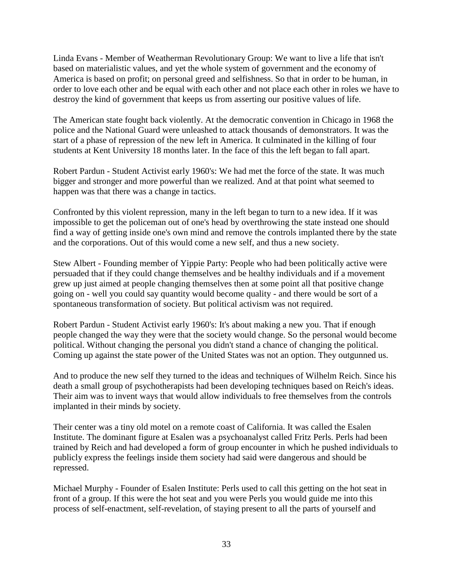Linda Evans - Member of Weatherman Revolutionary Group: We want to live a life that isn't based on materialistic values, and yet the whole system of government and the economy of America is based on profit; on personal greed and selfishness. So that in order to be human, in order to love each other and be equal with each other and not place each other in roles we have to destroy the kind of government that keeps us from asserting our positive values of life.

The American state fought back violently. At the democratic convention in Chicago in 1968 the police and the National Guard were unleashed to attack thousands of demonstrators. It was the start of a phase of repression of the new left in America. It culminated in the killing of four students at Kent University 18 months later. In the face of this the left began to fall apart.

Robert Pardun - Student Activist early 1960's: We had met the force of the state. It was much bigger and stronger and more powerful than we realized. And at that point what seemed to happen was that there was a change in tactics.

Confronted by this violent repression, many in the left began to turn to a new idea. If it was impossible to get the policeman out of one's head by overthrowing the state instead one should find a way of getting inside one's own mind and remove the controls implanted there by the state and the corporations. Out of this would come a new self, and thus a new society.

Stew Albert - Founding member of Yippie Party: People who had been politically active were persuaded that if they could change themselves and be healthy individuals and if a movement grew up just aimed at people changing themselves then at some point all that positive change going on - well you could say quantity would become quality - and there would be sort of a spontaneous transformation of society. But political activism was not required.

Robert Pardun - Student Activist early 1960's: It's about making a new you. That if enough people changed the way they were that the society would change. So the personal would become political. Without changing the personal you didn't stand a chance of changing the political. Coming up against the state power of the United States was not an option. They outgunned us.

And to produce the new self they turned to the ideas and techniques of Wilhelm Reich. Since his death a small group of psychotherapists had been developing techniques based on Reich's ideas. Their aim was to invent ways that would allow individuals to free themselves from the controls implanted in their minds by society.

Their center was a tiny old motel on a remote coast of California. It was called the Esalen Institute. The dominant figure at Esalen was a psychoanalyst called Fritz Perls. Perls had been trained by Reich and had developed a form of group encounter in which he pushed individuals to publicly express the feelings inside them society had said were dangerous and should be repressed.

Michael Murphy - Founder of Esalen Institute: Perls used to call this getting on the hot seat in front of a group. If this were the hot seat and you were Perls you would guide me into this process of self-enactment, self-revelation, of staying present to all the parts of yourself and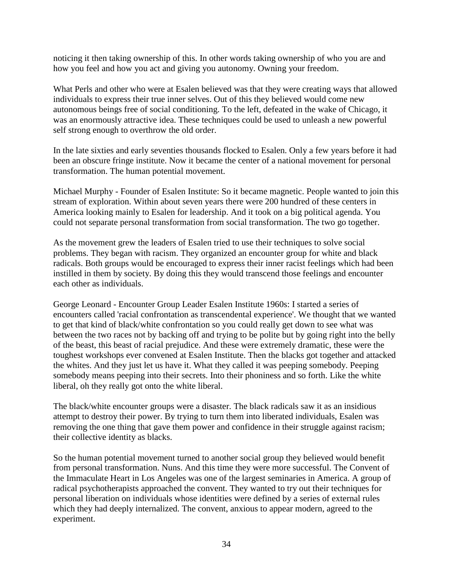noticing it then taking ownership of this. In other words taking ownership of who you are and how you feel and how you act and giving you autonomy. Owning your freedom.

What Perls and other who were at Esalen believed was that they were creating ways that allowed individuals to express their true inner selves. Out of this they believed would come new autonomous beings free of social conditioning. To the left, defeated in the wake of Chicago, it was an enormously attractive idea. These techniques could be used to unleash a new powerful self strong enough to overthrow the old order.

In the late sixties and early seventies thousands flocked to Esalen. Only a few years before it had been an obscure fringe institute. Now it became the center of a national movement for personal transformation. The human potential movement.

Michael Murphy - Founder of Esalen Institute: So it became magnetic. People wanted to join this stream of exploration. Within about seven years there were 200 hundred of these centers in America looking mainly to Esalen for leadership. And it took on a big political agenda. You could not separate personal transformation from social transformation. The two go together.

As the movement grew the leaders of Esalen tried to use their techniques to solve social problems. They began with racism. They organized an encounter group for white and black radicals. Both groups would be encouraged to express their inner racist feelings which had been instilled in them by society. By doing this they would transcend those feelings and encounter each other as individuals.

George Leonard - Encounter Group Leader Esalen Institute 1960s: I started a series of encounters called 'racial confrontation as transcendental experience'. We thought that we wanted to get that kind of black/white confrontation so you could really get down to see what was between the two races not by backing off and trying to be polite but by going right into the belly of the beast, this beast of racial prejudice. And these were extremely dramatic, these were the toughest workshops ever convened at Esalen Institute. Then the blacks got together and attacked the whites. And they just let us have it. What they called it was peeping somebody. Peeping somebody means peeping into their secrets. Into their phoniness and so forth. Like the white liberal, oh they really got onto the white liberal.

The black/white encounter groups were a disaster. The black radicals saw it as an insidious attempt to destroy their power. By trying to turn them into liberated individuals, Esalen was removing the one thing that gave them power and confidence in their struggle against racism; their collective identity as blacks.

So the human potential movement turned to another social group they believed would benefit from personal transformation. Nuns. And this time they were more successful. The Convent of the Immaculate Heart in Los Angeles was one of the largest seminaries in America. A group of radical psychotherapists approached the convent. They wanted to try out their techniques for personal liberation on individuals whose identities were defined by a series of external rules which they had deeply internalized. The convent, anxious to appear modern, agreed to the experiment.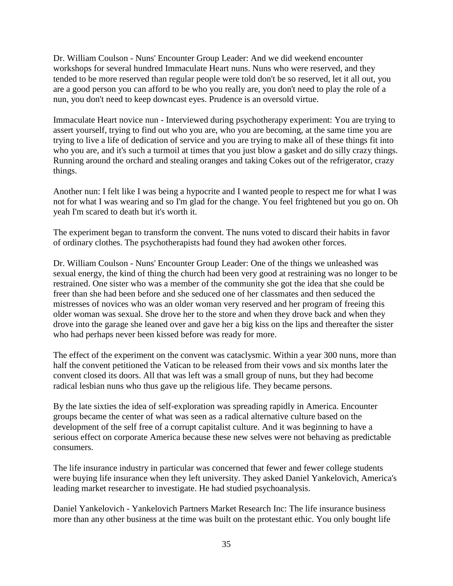Dr. William Coulson - Nuns' Encounter Group Leader: And we did weekend encounter workshops for several hundred Immaculate Heart nuns. Nuns who were reserved, and they tended to be more reserved than regular people were told don't be so reserved, let it all out, you are a good person you can afford to be who you really are, you don't need to play the role of a nun, you don't need to keep downcast eyes. Prudence is an oversold virtue.

Immaculate Heart novice nun - Interviewed during psychotherapy experiment: You are trying to assert yourself, trying to find out who you are, who you are becoming, at the same time you are trying to live a life of dedication of service and you are trying to make all of these things fit into who you are, and it's such a turmoil at times that you just blow a gasket and do silly crazy things. Running around the orchard and stealing oranges and taking Cokes out of the refrigerator, crazy things.

Another nun: I felt like I was being a hypocrite and I wanted people to respect me for what I was not for what I was wearing and so I'm glad for the change. You feel frightened but you go on. Oh yeah I'm scared to death but it's worth it.

The experiment began to transform the convent. The nuns voted to discard their habits in favor of ordinary clothes. The psychotherapists had found they had awoken other forces.

Dr. William Coulson - Nuns' Encounter Group Leader: One of the things we unleashed was sexual energy, the kind of thing the church had been very good at restraining was no longer to be restrained. One sister who was a member of the community she got the idea that she could be freer than she had been before and she seduced one of her classmates and then seduced the mistresses of novices who was an older woman very reserved and her program of freeing this older woman was sexual. She drove her to the store and when they drove back and when they drove into the garage she leaned over and gave her a big kiss on the lips and thereafter the sister who had perhaps never been kissed before was ready for more.

The effect of the experiment on the convent was cataclysmic. Within a year 300 nuns, more than half the convent petitioned the Vatican to be released from their vows and six months later the convent closed its doors. All that was left was a small group of nuns, but they had become radical lesbian nuns who thus gave up the religious life. They became persons.

By the late sixties the idea of self-exploration was spreading rapidly in America. Encounter groups became the center of what was seen as a radical alternative culture based on the development of the self free of a corrupt capitalist culture. And it was beginning to have a serious effect on corporate America because these new selves were not behaving as predictable consumers.

The life insurance industry in particular was concerned that fewer and fewer college students were buying life insurance when they left university. They asked Daniel Yankelovich, America's leading market researcher to investigate. He had studied psychoanalysis.

Daniel Yankelovich - Yankelovich Partners Market Research Inc: The life insurance business more than any other business at the time was built on the protestant ethic. You only bought life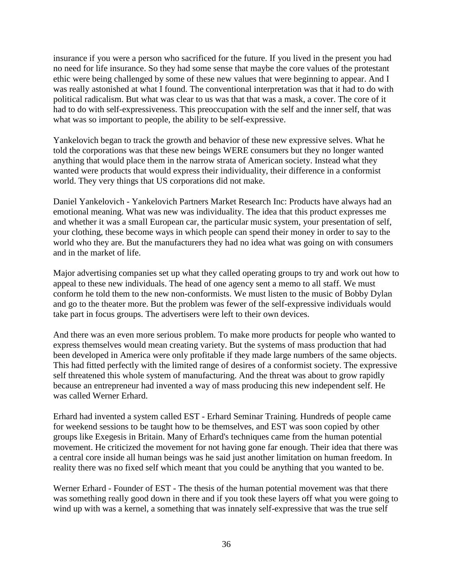insurance if you were a person who sacrificed for the future. If you lived in the present you had no need for life insurance. So they had some sense that maybe the core values of the protestant ethic were being challenged by some of these new values that were beginning to appear. And I was really astonished at what I found. The conventional interpretation was that it had to do with political radicalism. But what was clear to us was that that was a mask, a cover. The core of it had to do with self-expressiveness. This preoccupation with the self and the inner self, that was what was so important to people, the ability to be self-expressive.

Yankelovich began to track the growth and behavior of these new expressive selves. What he told the corporations was that these new beings WERE consumers but they no longer wanted anything that would place them in the narrow strata of American society. Instead what they wanted were products that would express their individuality, their difference in a conformist world. They very things that US corporations did not make.

Daniel Yankelovich - Yankelovich Partners Market Research Inc: Products have always had an emotional meaning. What was new was individuality. The idea that this product expresses me and whether it was a small European car, the particular music system, your presentation of self, your clothing, these become ways in which people can spend their money in order to say to the world who they are. But the manufacturers they had no idea what was going on with consumers and in the market of life.

Major advertising companies set up what they called operating groups to try and work out how to appeal to these new individuals. The head of one agency sent a memo to all staff. We must conform he told them to the new non-conformists. We must listen to the music of Bobby Dylan and go to the theater more. But the problem was fewer of the self-expressive individuals would take part in focus groups. The advertisers were left to their own devices.

And there was an even more serious problem. To make more products for people who wanted to express themselves would mean creating variety. But the systems of mass production that had been developed in America were only profitable if they made large numbers of the same objects. This had fitted perfectly with the limited range of desires of a conformist society. The expressive self threatened this whole system of manufacturing. And the threat was about to grow rapidly because an entrepreneur had invented a way of mass producing this new independent self. He was called Werner Erhard.

Erhard had invented a system called EST - Erhard Seminar Training. Hundreds of people came for weekend sessions to be taught how to be themselves, and EST was soon copied by other groups like Exegesis in Britain. Many of Erhard's techniques came from the human potential movement. He criticized the movement for not having gone far enough. Their idea that there was a central core inside all human beings was he said just another limitation on human freedom. In reality there was no fixed self which meant that you could be anything that you wanted to be.

Werner Erhard - Founder of EST - The thesis of the human potential movement was that there was something really good down in there and if you took these layers off what you were going to wind up with was a kernel, a something that was innately self-expressive that was the true self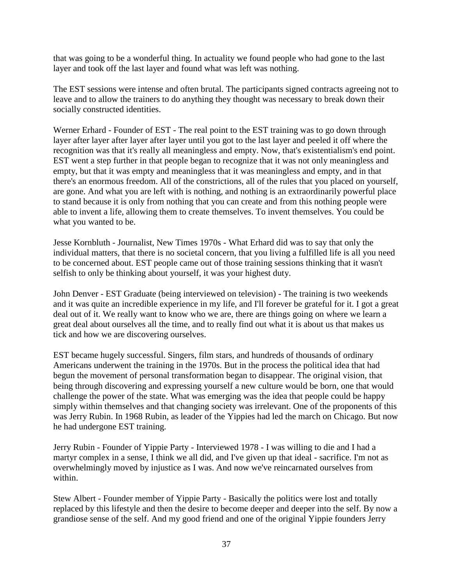that was going to be a wonderful thing. In actuality we found people who had gone to the last layer and took off the last layer and found what was left was nothing.

The EST sessions were intense and often brutal. The participants signed contracts agreeing not to leave and to allow the trainers to do anything they thought was necessary to break down their socially constructed identities.

Werner Erhard - Founder of EST - The real point to the EST training was to go down through layer after layer after layer after layer until you got to the last layer and peeled it off where the recognition was that it's really all meaningless and empty. Now, that's existentialism's end point. EST went a step further in that people began to recognize that it was not only meaningless and empty, but that it was empty and meaningless that it was meaningless and empty, and in that there's an enormous freedom. All of the constrictions, all of the rules that you placed on yourself, are gone. And what you are left with is nothing, and nothing is an extraordinarily powerful place to stand because it is only from nothing that you can create and from this nothing people were able to invent a life, allowing them to create themselves. To invent themselves. You could be what you wanted to be.

Jesse Kornbluth - Journalist, New Times 1970s - What Erhard did was to say that only the individual matters, that there is no societal concern, that you living a fulfilled life is all you need to be concerned about. EST people came out of those training sessions thinking that it wasn't selfish to only be thinking about yourself, it was your highest duty.

John Denver - EST Graduate (being interviewed on television) - The training is two weekends and it was quite an incredible experience in my life, and I'll forever be grateful for it. I got a great deal out of it. We really want to know who we are, there are things going on where we learn a great deal about ourselves all the time, and to really find out what it is about us that makes us tick and how we are discovering ourselves.

EST became hugely successful. Singers, film stars, and hundreds of thousands of ordinary Americans underwent the training in the 1970s. But in the process the political idea that had begun the movement of personal transformation began to disappear. The original vision, that being through discovering and expressing yourself a new culture would be born, one that would challenge the power of the state. What was emerging was the idea that people could be happy simply within themselves and that changing society was irrelevant. One of the proponents of this was Jerry Rubin. In 1968 Rubin, as leader of the Yippies had led the march on Chicago. But now he had undergone EST training.

Jerry Rubin - Founder of Yippie Party - Interviewed 1978 - I was willing to die and I had a martyr complex in a sense, I think we all did, and I've given up that ideal - sacrifice. I'm not as overwhelmingly moved by injustice as I was. And now we've reincarnated ourselves from within.

Stew Albert - Founder member of Yippie Party - Basically the politics were lost and totally replaced by this lifestyle and then the desire to become deeper and deeper into the self. By now a grandiose sense of the self. And my good friend and one of the original Yippie founders Jerry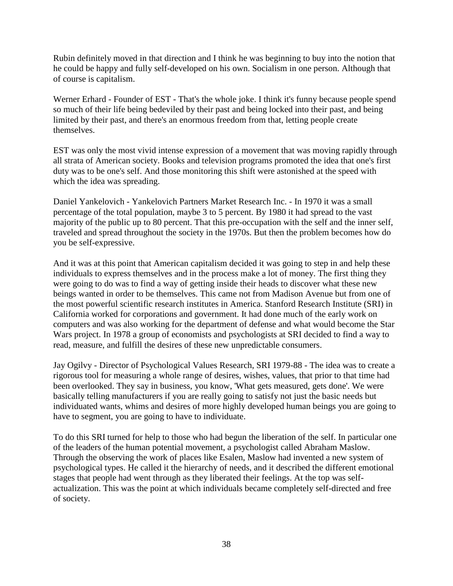Rubin definitely moved in that direction and I think he was beginning to buy into the notion that he could be happy and fully self-developed on his own. Socialism in one person. Although that of course is capitalism.

Werner Erhard - Founder of EST - That's the whole joke. I think it's funny because people spend so much of their life being bedeviled by their past and being locked into their past, and being limited by their past, and there's an enormous freedom from that, letting people create themselves.

EST was only the most vivid intense expression of a movement that was moving rapidly through all strata of American society. Books and television programs promoted the idea that one's first duty was to be one's self. And those monitoring this shift were astonished at the speed with which the idea was spreading.

Daniel Yankelovich - Yankelovich Partners Market Research Inc. - In 1970 it was a small percentage of the total population, maybe 3 to 5 percent. By 1980 it had spread to the vast majority of the public up to 80 percent. That this pre-occupation with the self and the inner self, traveled and spread throughout the society in the 1970s. But then the problem becomes how do you be self-expressive.

And it was at this point that American capitalism decided it was going to step in and help these individuals to express themselves and in the process make a lot of money. The first thing they were going to do was to find a way of getting inside their heads to discover what these new beings wanted in order to be themselves. This came not from Madison Avenue but from one of the most powerful scientific research institutes in America. Stanford Research Institute (SRI) in California worked for corporations and government. It had done much of the early work on computers and was also working for the department of defense and what would become the Star Wars project. In 1978 a group of economists and psychologists at SRI decided to find a way to read, measure, and fulfill the desires of these new unpredictable consumers.

Jay Ogilvy - Director of Psychological Values Research, SRI 1979-88 - The idea was to create a rigorous tool for measuring a whole range of desires, wishes, values, that prior to that time had been overlooked. They say in business, you know, 'What gets measured, gets done'. We were basically telling manufacturers if you are really going to satisfy not just the basic needs but individuated wants, whims and desires of more highly developed human beings you are going to have to segment, you are going to have to individuate.

To do this SRI turned for help to those who had begun the liberation of the self. In particular one of the leaders of the human potential movement, a psychologist called Abraham Maslow. Through the observing the work of places like Esalen, Maslow had invented a new system of psychological types. He called it the hierarchy of needs, and it described the different emotional stages that people had went through as they liberated their feelings. At the top was selfactualization. This was the point at which individuals became completely self-directed and free of society.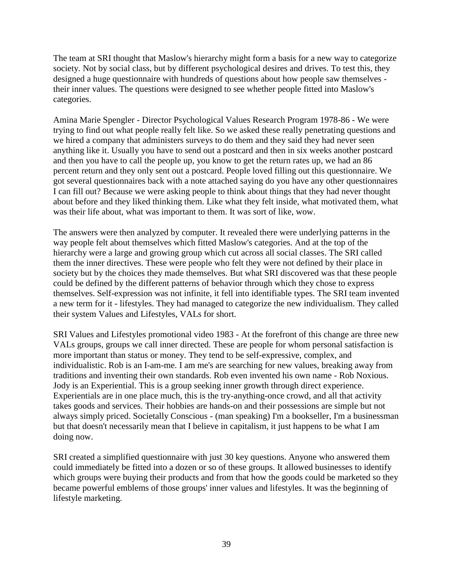The team at SRI thought that Maslow's hierarchy might form a basis for a new way to categorize society. Not by social class, but by different psychological desires and drives. To test this, they designed a huge questionnaire with hundreds of questions about how people saw themselves their inner values. The questions were designed to see whether people fitted into Maslow's categories.

Amina Marie Spengler - Director Psychological Values Research Program 1978-86 - We were trying to find out what people really felt like. So we asked these really penetrating questions and we hired a company that administers surveys to do them and they said they had never seen anything like it. Usually you have to send out a postcard and then in six weeks another postcard and then you have to call the people up, you know to get the return rates up, we had an 86 percent return and they only sent out a postcard. People loved filling out this questionnaire. We got several questionnaires back with a note attached saying do you have any other questionnaires I can fill out? Because we were asking people to think about things that they had never thought about before and they liked thinking them. Like what they felt inside, what motivated them, what was their life about, what was important to them. It was sort of like, wow.

The answers were then analyzed by computer. It revealed there were underlying patterns in the way people felt about themselves which fitted Maslow's categories. And at the top of the hierarchy were a large and growing group which cut across all social classes. The SRI called them the inner directives. These were people who felt they were not defined by their place in society but by the choices they made themselves. But what SRI discovered was that these people could be defined by the different patterns of behavior through which they chose to express themselves. Self-expression was not infinite, it fell into identifiable types. The SRI team invented a new term for it - lifestyles. They had managed to categorize the new individualism. They called their system Values and Lifestyles, VALs for short.

SRI Values and Lifestyles promotional video 1983 - At the forefront of this change are three new VALs groups, groups we call inner directed. These are people for whom personal satisfaction is more important than status or money. They tend to be self-expressive, complex, and individualistic. Rob is an I-am-me. I am me's are searching for new values, breaking away from traditions and inventing their own standards. Rob even invented his own name - Rob Noxious. Jody is an Experiential. This is a group seeking inner growth through direct experience. Experientials are in one place much, this is the try-anything-once crowd, and all that activity takes goods and services. Their hobbies are hands-on and their possessions are simple but not always simply priced. Societally Conscious - (man speaking) I'm a bookseller, I'm a businessman but that doesn't necessarily mean that I believe in capitalism, it just happens to be what I am doing now.

SRI created a simplified questionnaire with just 30 key questions. Anyone who answered them could immediately be fitted into a dozen or so of these groups. It allowed businesses to identify which groups were buying their products and from that how the goods could be marketed so they became powerful emblems of those groups' inner values and lifestyles. It was the beginning of lifestyle marketing.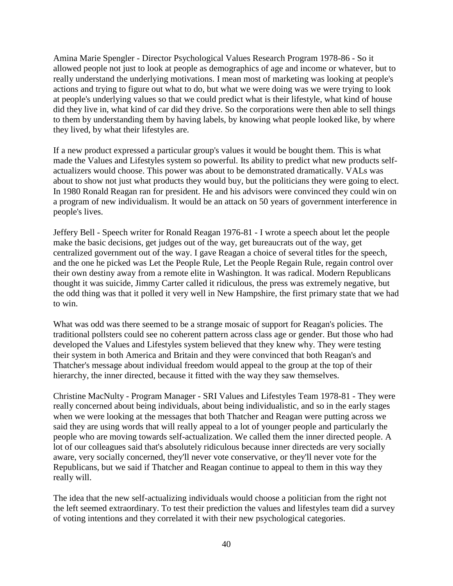Amina Marie Spengler - Director Psychological Values Research Program 1978-86 - So it allowed people not just to look at people as demographics of age and income or whatever, but to really understand the underlying motivations. I mean most of marketing was looking at people's actions and trying to figure out what to do, but what we were doing was we were trying to look at people's underlying values so that we could predict what is their lifestyle, what kind of house did they live in, what kind of car did they drive. So the corporations were then able to sell things to them by understanding them by having labels, by knowing what people looked like, by where they lived, by what their lifestyles are.

If a new product expressed a particular group's values it would be bought them. This is what made the Values and Lifestyles system so powerful. Its ability to predict what new products selfactualizers would choose. This power was about to be demonstrated dramatically. VALs was about to show not just what products they would buy, but the politicians they were going to elect. In 1980 Ronald Reagan ran for president. He and his advisors were convinced they could win on a program of new individualism. It would be an attack on 50 years of government interference in people's lives.

Jeffery Bell - Speech writer for Ronald Reagan 1976-81 - I wrote a speech about let the people make the basic decisions, get judges out of the way, get bureaucrats out of the way, get centralized government out of the way. I gave Reagan a choice of several titles for the speech, and the one he picked was Let the People Rule, Let the People Regain Rule, regain control over their own destiny away from a remote elite in Washington. It was radical. Modern Republicans thought it was suicide, Jimmy Carter called it ridiculous, the press was extremely negative, but the odd thing was that it polled it very well in New Hampshire, the first primary state that we had to win.

What was odd was there seemed to be a strange mosaic of support for Reagan's policies. The traditional pollsters could see no coherent pattern across class age or gender. But those who had developed the Values and Lifestyles system believed that they knew why. They were testing their system in both America and Britain and they were convinced that both Reagan's and Thatcher's message about individual freedom would appeal to the group at the top of their hierarchy, the inner directed, because it fitted with the way they saw themselves.

Christine MacNulty - Program Manager - SRI Values and Lifestyles Team 1978-81 - They were really concerned about being individuals, about being individualistic, and so in the early stages when we were looking at the messages that both Thatcher and Reagan were putting across we said they are using words that will really appeal to a lot of younger people and particularly the people who are moving towards self-actualization. We called them the inner directed people. A lot of our colleagues said that's absolutely ridiculous because inner directeds are very socially aware, very socially concerned, they'll never vote conservative, or they'll never vote for the Republicans, but we said if Thatcher and Reagan continue to appeal to them in this way they really will.

The idea that the new self-actualizing individuals would choose a politician from the right not the left seemed extraordinary. To test their prediction the values and lifestyles team did a survey of voting intentions and they correlated it with their new psychological categories.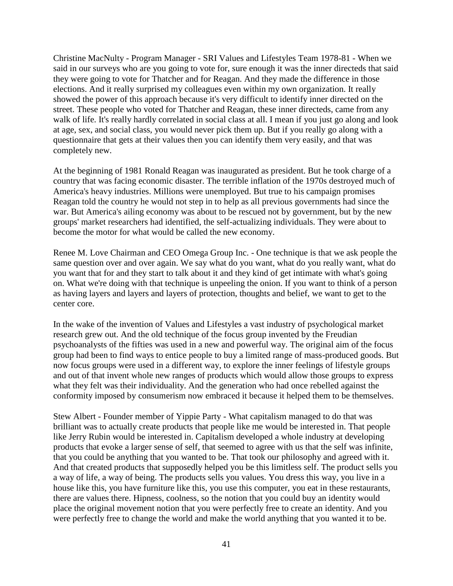Christine MacNulty - Program Manager - SRI Values and Lifestyles Team 1978-81 - When we said in our surveys who are you going to vote for, sure enough it was the inner directeds that said they were going to vote for Thatcher and for Reagan. And they made the difference in those elections. And it really surprised my colleagues even within my own organization. It really showed the power of this approach because it's very difficult to identify inner directed on the street. These people who voted for Thatcher and Reagan, these inner directeds, came from any walk of life. It's really hardly correlated in social class at all. I mean if you just go along and look at age, sex, and social class, you would never pick them up. But if you really go along with a questionnaire that gets at their values then you can identify them very easily, and that was completely new.

At the beginning of 1981 Ronald Reagan was inaugurated as president. But he took charge of a country that was facing economic disaster. The terrible inflation of the 1970s destroyed much of America's heavy industries. Millions were unemployed. But true to his campaign promises Reagan told the country he would not step in to help as all previous governments had since the war. But America's ailing economy was about to be rescued not by government, but by the new groups' market researchers had identified, the self-actualizing individuals. They were about to become the motor for what would be called the new economy.

Renee M. Love Chairman and CEO Omega Group Inc. - One technique is that we ask people the same question over and over again. We say what do you want, what do you really want, what do you want that for and they start to talk about it and they kind of get intimate with what's going on. What we're doing with that technique is unpeeling the onion. If you want to think of a person as having layers and layers and layers of protection, thoughts and belief, we want to get to the center core.

In the wake of the invention of Values and Lifestyles a vast industry of psychological market research grew out. And the old technique of the focus group invented by the Freudian psychoanalysts of the fifties was used in a new and powerful way. The original aim of the focus group had been to find ways to entice people to buy a limited range of mass-produced goods. But now focus groups were used in a different way, to explore the inner feelings of lifestyle groups and out of that invent whole new ranges of products which would allow those groups to express what they felt was their individuality. And the generation who had once rebelled against the conformity imposed by consumerism now embraced it because it helped them to be themselves.

Stew Albert - Founder member of Yippie Party - What capitalism managed to do that was brilliant was to actually create products that people like me would be interested in. That people like Jerry Rubin would be interested in. Capitalism developed a whole industry at developing products that evoke a larger sense of self, that seemed to agree with us that the self was infinite, that you could be anything that you wanted to be. That took our philosophy and agreed with it. And that created products that supposedly helped you be this limitless self. The product sells you a way of life, a way of being. The products sells you values. You dress this way, you live in a house like this, you have furniture like this, you use this computer, you eat in these restaurants, there are values there. Hipness, coolness, so the notion that you could buy an identity would place the original movement notion that you were perfectly free to create an identity. And you were perfectly free to change the world and make the world anything that you wanted it to be.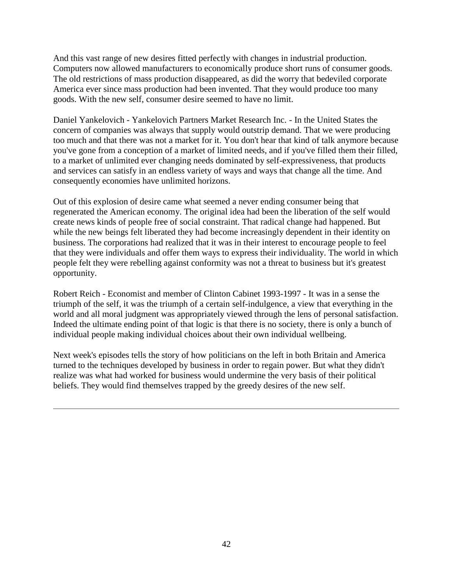And this vast range of new desires fitted perfectly with changes in industrial production. Computers now allowed manufacturers to economically produce short runs of consumer goods. The old restrictions of mass production disappeared, as did the worry that bedeviled corporate America ever since mass production had been invented. That they would produce too many goods. With the new self, consumer desire seemed to have no limit.

Daniel Yankelovich - Yankelovich Partners Market Research Inc. - In the United States the concern of companies was always that supply would outstrip demand. That we were producing too much and that there was not a market for it. You don't hear that kind of talk anymore because you've gone from a conception of a market of limited needs, and if you've filled them their filled, to a market of unlimited ever changing needs dominated by self-expressiveness, that products and services can satisfy in an endless variety of ways and ways that change all the time. And consequently economies have unlimited horizons.

Out of this explosion of desire came what seemed a never ending consumer being that regenerated the American economy. The original idea had been the liberation of the self would create news kinds of people free of social constraint. That radical change had happened. But while the new beings felt liberated they had become increasingly dependent in their identity on business. The corporations had realized that it was in their interest to encourage people to feel that they were individuals and offer them ways to express their individuality. The world in which people felt they were rebelling against conformity was not a threat to business but it's greatest opportunity.

Robert Reich - Economist and member of Clinton Cabinet 1993-1997 - It was in a sense the triumph of the self, it was the triumph of a certain self-indulgence, a view that everything in the world and all moral judgment was appropriately viewed through the lens of personal satisfaction. Indeed the ultimate ending point of that logic is that there is no society, there is only a bunch of individual people making individual choices about their own individual wellbeing.

Next week's episodes tells the story of how politicians on the left in both Britain and America turned to the techniques developed by business in order to regain power. But what they didn't realize was what had worked for business would undermine the very basis of their political beliefs. They would find themselves trapped by the greedy desires of the new self.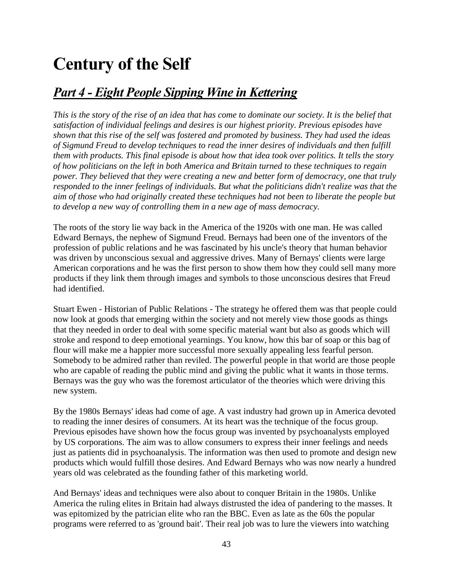# **Century of the Self**

### *Part 4 - Eight People Sipping Wine in Kettering*

*This is the story of the rise of an idea that has come to dominate our society. It is the belief that satisfaction of individual feelings and desires is our highest priority. Previous episodes have shown that this rise of the self was fostered and promoted by business. They had used the ideas of Sigmund Freud to develop techniques to read the inner desires of individuals and then fulfill them with products. This final episode is about how that idea took over politics. It tells the story of how politicians on the left in both America and Britain turned to these techniques to regain power. They believed that they were creating a new and better form of democracy, one that truly responded to the inner feelings of individuals. But what the politicians didn't realize was that the aim of those who had originally created these techniques had not been to liberate the people but to develop a new way of controlling them in a new age of mass democracy.*

The roots of the story lie way back in the America of the 1920s with one man. He was called Edward Bernays, the nephew of Sigmund Freud. Bernays had been one of the inventors of the profession of public relations and he was fascinated by his uncle's theory that human behavior was driven by unconscious sexual and aggressive drives. Many of Bernays' clients were large American corporations and he was the first person to show them how they could sell many more products if they link them through images and symbols to those unconscious desires that Freud had identified.

Stuart Ewen - Historian of Public Relations - The strategy he offered them was that people could now look at goods that emerging within the society and not merely view those goods as things that they needed in order to deal with some specific material want but also as goods which will stroke and respond to deep emotional yearnings. You know, how this bar of soap or this bag of flour will make me a happier more successful more sexually appealing less fearful person. Somebody to be admired rather than reviled. The powerful people in that world are those people who are capable of reading the public mind and giving the public what it wants in those terms. Bernays was the guy who was the foremost articulator of the theories which were driving this new system.

By the 1980s Bernays' ideas had come of age. A vast industry had grown up in America devoted to reading the inner desires of consumers. At its heart was the technique of the focus group. Previous episodes have shown how the focus group was invented by psychoanalysts employed by US corporations. The aim was to allow consumers to express their inner feelings and needs just as patients did in psychoanalysis. The information was then used to promote and design new products which would fulfill those desires. And Edward Bernays who was now nearly a hundred years old was celebrated as the founding father of this marketing world.

And Bernays' ideas and techniques were also about to conquer Britain in the 1980s. Unlike America the ruling elites in Britain had always distrusted the idea of pandering to the masses. It was epitomized by the patrician elite who ran the BBC. Even as late as the 60s the popular programs were referred to as 'ground bait'. Their real job was to lure the viewers into watching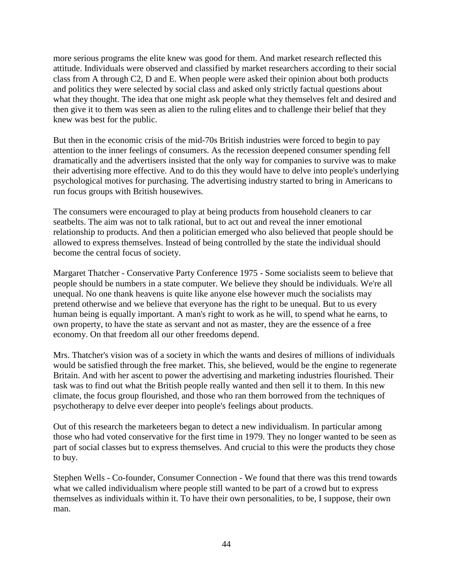more serious programs the elite knew was good for them. And market research reflected this attitude. Individuals were observed and classified by market researchers according to their social class from A through C2, D and E. When people were asked their opinion about both products and politics they were selected by social class and asked only strictly factual questions about what they thought. The idea that one might ask people what they themselves felt and desired and then give it to them was seen as alien to the ruling elites and to challenge their belief that they knew was best for the public.

But then in the economic crisis of the mid-70s British industries were forced to begin to pay attention to the inner feelings of consumers. As the recession deepened consumer spending fell dramatically and the advertisers insisted that the only way for companies to survive was to make their advertising more effective. And to do this they would have to delve into people's underlying psychological motives for purchasing. The advertising industry started to bring in Americans to run focus groups with British housewives.

The consumers were encouraged to play at being products from household cleaners to car seatbelts. The aim was not to talk rational, but to act out and reveal the inner emotional relationship to products. And then a politician emerged who also believed that people should be allowed to express themselves. Instead of being controlled by the state the individual should become the central focus of society.

Margaret Thatcher - Conservative Party Conference 1975 - Some socialists seem to believe that people should be numbers in a state computer. We believe they should be individuals. We're all unequal. No one thank heavens is quite like anyone else however much the socialists may pretend otherwise and we believe that everyone has the right to be unequal. But to us every human being is equally important. A man's right to work as he will, to spend what he earns, to own property, to have the state as servant and not as master, they are the essence of a free economy. On that freedom all our other freedoms depend.

Mrs. Thatcher's vision was of a society in which the wants and desires of millions of individuals would be satisfied through the free market. This, she believed, would be the engine to regenerate Britain. And with her ascent to power the advertising and marketing industries flourished. Their task was to find out what the British people really wanted and then sell it to them. In this new climate, the focus group flourished, and those who ran them borrowed from the techniques of psychotherapy to delve ever deeper into people's feelings about products.

Out of this research the marketeers began to detect a new individualism. In particular among those who had voted conservative for the first time in 1979. They no longer wanted to be seen as part of social classes but to express themselves. And crucial to this were the products they chose to buy.

Stephen Wells - Co-founder, Consumer Connection - We found that there was this trend towards what we called individualism where people still wanted to be part of a crowd but to express themselves as individuals within it. To have their own personalities, to be, I suppose, their own man.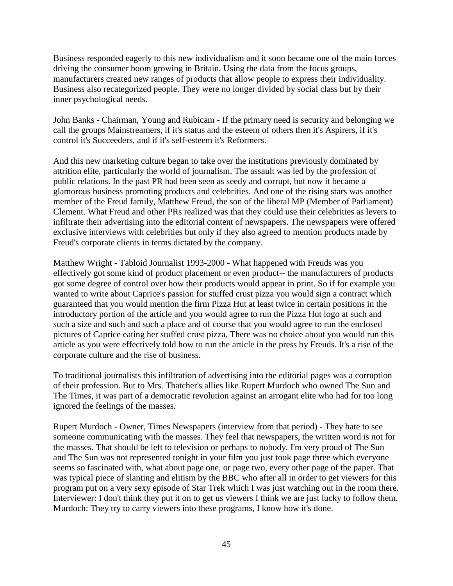Business responded eagerly to this new individualism and it soon became one of the main forces driving the consumer boom growing in Britain. Using the data from the focus groups, manufacturers created new ranges of products that allow people to express their individuality. Business also recategorized people. They were no longer divided by social class but by their inner psychological needs.

John Banks - Chairman, Young and Rubicam - If the primary need is security and belonging we call the groups Mainstreamers, if it's status and the esteem of others then it's Aspirers, if it's control it's Succeeders, and if it's self-esteem it's Reformers.

And this new marketing culture began to take over the institutions previously dominated by attrition elite, particularly the world of journalism. The assault was led by the profession of public relations. In the past PR had been seen as seedy and corrupt, but now it became a glamorous business promoting products and celebrities. And one of the rising stars was another member of the Freud family, Matthew Freud, the son of the liberal MP (Member of Parliament) Clement. What Freud and other PRs realized was that they could use their celebrities as levers to infiltrate their advertising into the editorial content of newspapers. The newspapers were offered exclusive interviews with celebrities but only if they also agreed to mention products made by Freud's corporate clients in terms dictated by the company.

Matthew Wright - Tabloid Journalist 1993-2000 - What happened with Freuds was you effectively got some kind of product placement or even product-- the manufacturers of products got some degree of control over how their products would appear in print. So if for example you wanted to write about Caprice's passion for stuffed crust pizza you would sign a contract which guaranteed that you would mention the firm Pizza Hut at least twice in certain positions in the introductory portion of the article and you would agree to run the Pizza Hut logo at such and such a size and such and such a place and of course that you would agree to run the enclosed pictures of Caprice eating her stuffed crust pizza. There was no choice about you would run this article as you were effectively told how to run the article in the press by Freuds. It's a rise of the corporate culture and the rise of business.

To traditional journalists this infiltration of advertising into the editorial pages was a corruption of their profession. But to Mrs. Thatcher's allies like Rupert Murdoch who owned The Sun and The Times, it was part of a democratic revolution against an arrogant elite who had for too long ignored the feelings of the masses.

Rupert Murdoch - Owner, Times Newspapers (interview from that period) - They hate to see someone communicating with the masses. They feel that newspapers, the written word is not for the masses. That should be left to television or perhaps to nobody. I'm very proud of The Sun and The Sun was not represented tonight in your film you just took page three which everyone seems so fascinated with, what about page one, or page two, every other page of the paper. That was typical piece of slanting and elitism by the BBC who after all in order to get viewers for this program put on a very sexy episode of Star Trek which I was just watching out in the room there. Interviewer: I don't think they put it on to get us viewers I think we are just lucky to follow them. Murdoch: They try to carry viewers into these programs, I know how it's done.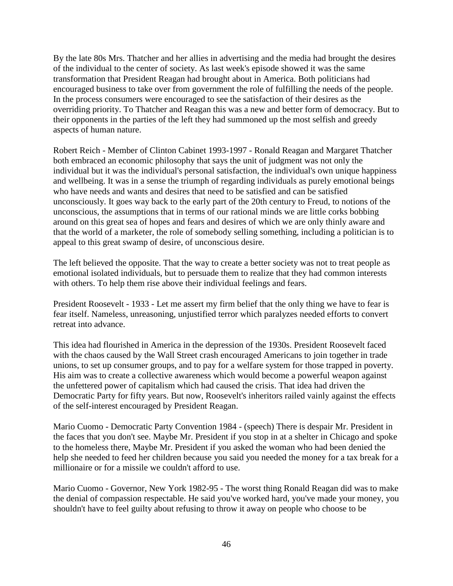By the late 80s Mrs. Thatcher and her allies in advertising and the media had brought the desires of the individual to the center of society. As last week's episode showed it was the same transformation that President Reagan had brought about in America. Both politicians had encouraged business to take over from government the role of fulfilling the needs of the people. In the process consumers were encouraged to see the satisfaction of their desires as the overriding priority. To Thatcher and Reagan this was a new and better form of democracy. But to their opponents in the parties of the left they had summoned up the most selfish and greedy aspects of human nature.

Robert Reich - Member of Clinton Cabinet 1993-1997 - Ronald Reagan and Margaret Thatcher both embraced an economic philosophy that says the unit of judgment was not only the individual but it was the individual's personal satisfaction, the individual's own unique happiness and wellbeing. It was in a sense the triumph of regarding individuals as purely emotional beings who have needs and wants and desires that need to be satisfied and can be satisfied unconsciously. It goes way back to the early part of the 20th century to Freud, to notions of the unconscious, the assumptions that in terms of our rational minds we are little corks bobbing around on this great sea of hopes and fears and desires of which we are only thinly aware and that the world of a marketer, the role of somebody selling something, including a politician is to appeal to this great swamp of desire, of unconscious desire.

The left believed the opposite. That the way to create a better society was not to treat people as emotional isolated individuals, but to persuade them to realize that they had common interests with others. To help them rise above their individual feelings and fears.

President Roosevelt - 1933 - Let me assert my firm belief that the only thing we have to fear is fear itself. Nameless, unreasoning, unjustified terror which paralyzes needed efforts to convert retreat into advance.

This idea had flourished in America in the depression of the 1930s. President Roosevelt faced with the chaos caused by the Wall Street crash encouraged Americans to join together in trade unions, to set up consumer groups, and to pay for a welfare system for those trapped in poverty. His aim was to create a collective awareness which would become a powerful weapon against the unfettered power of capitalism which had caused the crisis. That idea had driven the Democratic Party for fifty years. But now, Roosevelt's inheritors railed vainly against the effects of the self-interest encouraged by President Reagan.

Mario Cuomo - Democratic Party Convention 1984 - (speech) There is despair Mr. President in the faces that you don't see. Maybe Mr. President if you stop in at a shelter in Chicago and spoke to the homeless there, Maybe Mr. President if you asked the woman who had been denied the help she needed to feed her children because you said you needed the money for a tax break for a millionaire or for a missile we couldn't afford to use.

Mario Cuomo - Governor, New York 1982-95 - The worst thing Ronald Reagan did was to make the denial of compassion respectable. He said you've worked hard, you've made your money, you shouldn't have to feel guilty about refusing to throw it away on people who choose to be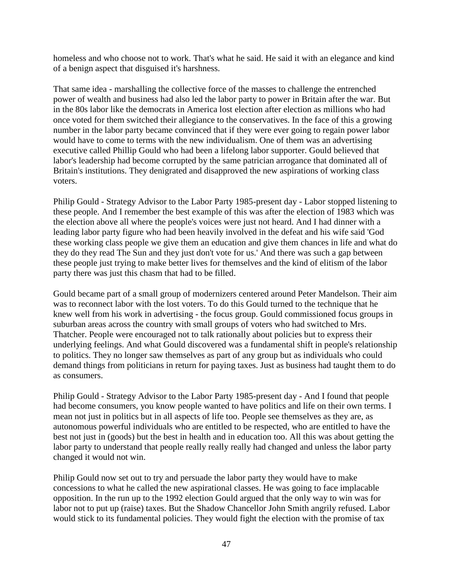homeless and who choose not to work. That's what he said. He said it with an elegance and kind of a benign aspect that disguised it's harshness.

That same idea - marshalling the collective force of the masses to challenge the entrenched power of wealth and business had also led the labor party to power in Britain after the war. But in the 80s labor like the democrats in America lost election after election as millions who had once voted for them switched their allegiance to the conservatives. In the face of this a growing number in the labor party became convinced that if they were ever going to regain power labor would have to come to terms with the new individualism. One of them was an advertising executive called Phillip Gould who had been a lifelong labor supporter. Gould believed that labor's leadership had become corrupted by the same patrician arrogance that dominated all of Britain's institutions. They denigrated and disapproved the new aspirations of working class voters.

Philip Gould - Strategy Advisor to the Labor Party 1985-present day - Labor stopped listening to these people. And I remember the best example of this was after the election of 1983 which was the election above all where the people's voices were just not heard. And I had dinner with a leading labor party figure who had been heavily involved in the defeat and his wife said 'God these working class people we give them an education and give them chances in life and what do they do they read The Sun and they just don't vote for us.' And there was such a gap between these people just trying to make better lives for themselves and the kind of elitism of the labor party there was just this chasm that had to be filled.

Gould became part of a small group of modernizers centered around Peter Mandelson. Their aim was to reconnect labor with the lost voters. To do this Gould turned to the technique that he knew well from his work in advertising - the focus group. Gould commissioned focus groups in suburban areas across the country with small groups of voters who had switched to Mrs. Thatcher. People were encouraged not to talk rationally about policies but to express their underlying feelings. And what Gould discovered was a fundamental shift in people's relationship to politics. They no longer saw themselves as part of any group but as individuals who could demand things from politicians in return for paying taxes. Just as business had taught them to do as consumers.

Philip Gould - Strategy Advisor to the Labor Party 1985-present day - And I found that people had become consumers, you know people wanted to have politics and life on their own terms. I mean not just in politics but in all aspects of life too. People see themselves as they are, as autonomous powerful individuals who are entitled to be respected, who are entitled to have the best not just in (goods) but the best in health and in education too. All this was about getting the labor party to understand that people really really really had changed and unless the labor party changed it would not win.

Philip Gould now set out to try and persuade the labor party they would have to make concessions to what he called the new aspirational classes. He was going to face implacable opposition. In the run up to the 1992 election Gould argued that the only way to win was for labor not to put up (raise) taxes. But the Shadow Chancellor John Smith angrily refused. Labor would stick to its fundamental policies. They would fight the election with the promise of tax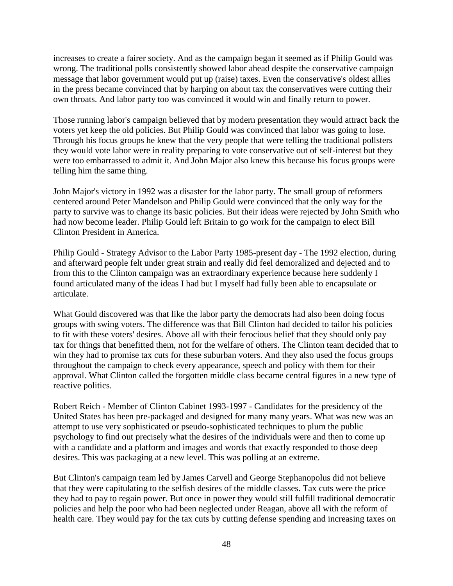increases to create a fairer society. And as the campaign began it seemed as if Philip Gould was wrong. The traditional polls consistently showed labor ahead despite the conservative campaign message that labor government would put up (raise) taxes. Even the conservative's oldest allies in the press became convinced that by harping on about tax the conservatives were cutting their own throats. And labor party too was convinced it would win and finally return to power.

Those running labor's campaign believed that by modern presentation they would attract back the voters yet keep the old policies. But Philip Gould was convinced that labor was going to lose. Through his focus groups he knew that the very people that were telling the traditional pollsters they would vote labor were in reality preparing to vote conservative out of self-interest but they were too embarrassed to admit it. And John Major also knew this because his focus groups were telling him the same thing.

John Major's victory in 1992 was a disaster for the labor party. The small group of reformers centered around Peter Mandelson and Philip Gould were convinced that the only way for the party to survive was to change its basic policies. But their ideas were rejected by John Smith who had now become leader. Philip Gould left Britain to go work for the campaign to elect Bill Clinton President in America.

Philip Gould - Strategy Advisor to the Labor Party 1985-present day - The 1992 election, during and afterward people felt under great strain and really did feel demoralized and dejected and to from this to the Clinton campaign was an extraordinary experience because here suddenly I found articulated many of the ideas I had but I myself had fully been able to encapsulate or articulate.

What Gould discovered was that like the labor party the democrats had also been doing focus groups with swing voters. The difference was that Bill Clinton had decided to tailor his policies to fit with these voters' desires. Above all with their ferocious belief that they should only pay tax for things that benefitted them, not for the welfare of others. The Clinton team decided that to win they had to promise tax cuts for these suburban voters. And they also used the focus groups throughout the campaign to check every appearance, speech and policy with them for their approval. What Clinton called the forgotten middle class became central figures in a new type of reactive politics.

Robert Reich - Member of Clinton Cabinet 1993-1997 - Candidates for the presidency of the United States has been pre-packaged and designed for many many years. What was new was an attempt to use very sophisticated or pseudo-sophisticated techniques to plum the public psychology to find out precisely what the desires of the individuals were and then to come up with a candidate and a platform and images and words that exactly responded to those deep desires. This was packaging at a new level. This was polling at an extreme.

But Clinton's campaign team led by James Carvell and George Stephanopolus did not believe that they were capitulating to the selfish desires of the middle classes. Tax cuts were the price they had to pay to regain power. But once in power they would still fulfill traditional democratic policies and help the poor who had been neglected under Reagan, above all with the reform of health care. They would pay for the tax cuts by cutting defense spending and increasing taxes on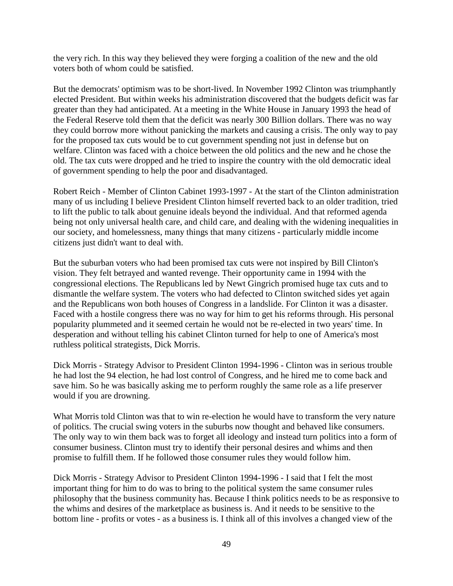the very rich. In this way they believed they were forging a coalition of the new and the old voters both of whom could be satisfied.

But the democrats' optimism was to be short-lived. In November 1992 Clinton was triumphantly elected President. But within weeks his administration discovered that the budgets deficit was far greater than they had anticipated. At a meeting in the White House in January 1993 the head of the Federal Reserve told them that the deficit was nearly 300 Billion dollars. There was no way they could borrow more without panicking the markets and causing a crisis. The only way to pay for the proposed tax cuts would be to cut government spending not just in defense but on welfare. Clinton was faced with a choice between the old politics and the new and he chose the old. The tax cuts were dropped and he tried to inspire the country with the old democratic ideal of government spending to help the poor and disadvantaged.

Robert Reich - Member of Clinton Cabinet 1993-1997 - At the start of the Clinton administration many of us including I believe President Clinton himself reverted back to an older tradition, tried to lift the public to talk about genuine ideals beyond the individual. And that reformed agenda being not only universal health care, and child care, and dealing with the widening inequalities in our society, and homelessness, many things that many citizens - particularly middle income citizens just didn't want to deal with.

But the suburban voters who had been promised tax cuts were not inspired by Bill Clinton's vision. They felt betrayed and wanted revenge. Their opportunity came in 1994 with the congressional elections. The Republicans led by Newt Gingrich promised huge tax cuts and to dismantle the welfare system. The voters who had defected to Clinton switched sides yet again and the Republicans won both houses of Congress in a landslide. For Clinton it was a disaster. Faced with a hostile congress there was no way for him to get his reforms through. His personal popularity plummeted and it seemed certain he would not be re-elected in two years' time. In desperation and without telling his cabinet Clinton turned for help to one of America's most ruthless political strategists, Dick Morris.

Dick Morris - Strategy Advisor to President Clinton 1994-1996 - Clinton was in serious trouble he had lost the 94 election, he had lost control of Congress, and he hired me to come back and save him. So he was basically asking me to perform roughly the same role as a life preserver would if you are drowning.

What Morris told Clinton was that to win re-election he would have to transform the very nature of politics. The crucial swing voters in the suburbs now thought and behaved like consumers. The only way to win them back was to forget all ideology and instead turn politics into a form of consumer business. Clinton must try to identify their personal desires and whims and then promise to fulfill them. If he followed those consumer rules they would follow him.

Dick Morris - Strategy Advisor to President Clinton 1994-1996 - I said that I felt the most important thing for him to do was to bring to the political system the same consumer rules philosophy that the business community has. Because I think politics needs to be as responsive to the whims and desires of the marketplace as business is. And it needs to be sensitive to the bottom line - profits or votes - as a business is. I think all of this involves a changed view of the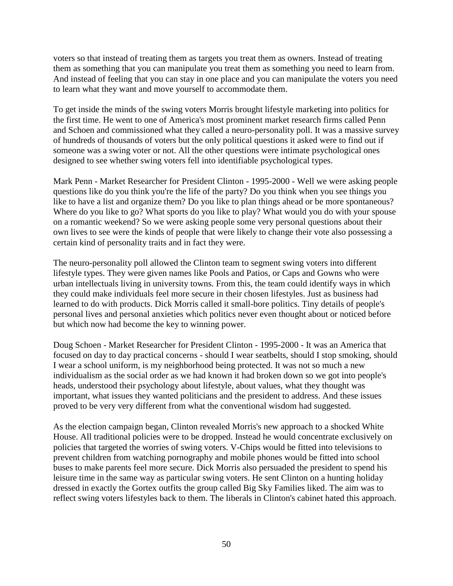voters so that instead of treating them as targets you treat them as owners. Instead of treating them as something that you can manipulate you treat them as something you need to learn from. And instead of feeling that you can stay in one place and you can manipulate the voters you need to learn what they want and move yourself to accommodate them.

To get inside the minds of the swing voters Morris brought lifestyle marketing into politics for the first time. He went to one of America's most prominent market research firms called Penn and Schoen and commissioned what they called a neuro-personality poll. It was a massive survey of hundreds of thousands of voters but the only political questions it asked were to find out if someone was a swing voter or not. All the other questions were intimate psychological ones designed to see whether swing voters fell into identifiable psychological types.

Mark Penn - Market Researcher for President Clinton - 1995-2000 - Well we were asking people questions like do you think you're the life of the party? Do you think when you see things you like to have a list and organize them? Do you like to plan things ahead or be more spontaneous? Where do you like to go? What sports do you like to play? What would you do with your spouse on a romantic weekend? So we were asking people some very personal questions about their own lives to see were the kinds of people that were likely to change their vote also possessing a certain kind of personality traits and in fact they were.

The neuro-personality poll allowed the Clinton team to segment swing voters into different lifestyle types. They were given names like Pools and Patios, or Caps and Gowns who were urban intellectuals living in university towns. From this, the team could identify ways in which they could make individuals feel more secure in their chosen lifestyles. Just as business had learned to do with products. Dick Morris called it small-bore politics. Tiny details of people's personal lives and personal anxieties which politics never even thought about or noticed before but which now had become the key to winning power.

Doug Schoen - Market Researcher for President Clinton - 1995-2000 - It was an America that focused on day to day practical concerns - should I wear seatbelts, should I stop smoking, should I wear a school uniform, is my neighborhood being protected. It was not so much a new individualism as the social order as we had known it had broken down so we got into people's heads, understood their psychology about lifestyle, about values, what they thought was important, what issues they wanted politicians and the president to address. And these issues proved to be very very different from what the conventional wisdom had suggested.

As the election campaign began, Clinton revealed Morris's new approach to a shocked White House. All traditional policies were to be dropped. Instead he would concentrate exclusively on policies that targeted the worries of swing voters. V-Chips would be fitted into televisions to prevent children from watching pornography and mobile phones would be fitted into school buses to make parents feel more secure. Dick Morris also persuaded the president to spend his leisure time in the same way as particular swing voters. He sent Clinton on a hunting holiday dressed in exactly the Gortex outfits the group called Big Sky Families liked. The aim was to reflect swing voters lifestyles back to them. The liberals in Clinton's cabinet hated this approach.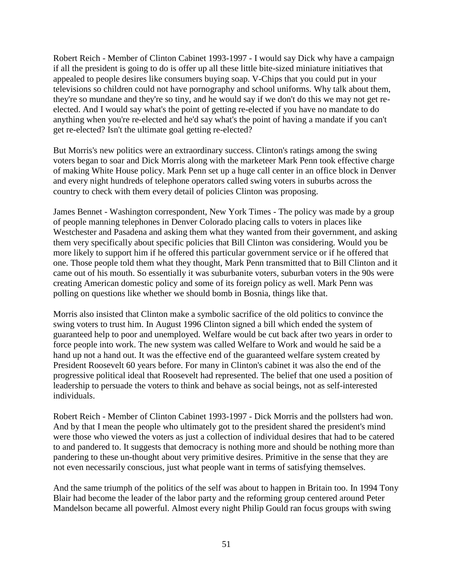Robert Reich - Member of Clinton Cabinet 1993-1997 - I would say Dick why have a campaign if all the president is going to do is offer up all these little bite-sized miniature initiatives that appealed to people desires like consumers buying soap. V-Chips that you could put in your televisions so children could not have pornography and school uniforms. Why talk about them, they're so mundane and they're so tiny, and he would say if we don't do this we may not get reelected. And I would say what's the point of getting re-elected if you have no mandate to do anything when you're re-elected and he'd say what's the point of having a mandate if you can't get re-elected? Isn't the ultimate goal getting re-elected?

But Morris's new politics were an extraordinary success. Clinton's ratings among the swing voters began to soar and Dick Morris along with the marketeer Mark Penn took effective charge of making White House policy. Mark Penn set up a huge call center in an office block in Denver and every night hundreds of telephone operators called swing voters in suburbs across the country to check with them every detail of policies Clinton was proposing.

James Bennet - Washington correspondent, New York Times - The policy was made by a group of people manning telephones in Denver Colorado placing calls to voters in places like Westchester and Pasadena and asking them what they wanted from their government, and asking them very specifically about specific policies that Bill Clinton was considering. Would you be more likely to support him if he offered this particular government service or if he offered that one. Those people told them what they thought, Mark Penn transmitted that to Bill Clinton and it came out of his mouth. So essentially it was suburbanite voters, suburban voters in the 90s were creating American domestic policy and some of its foreign policy as well. Mark Penn was polling on questions like whether we should bomb in Bosnia, things like that.

Morris also insisted that Clinton make a symbolic sacrifice of the old politics to convince the swing voters to trust him. In August 1996 Clinton signed a bill which ended the system of guaranteed help to poor and unemployed. Welfare would be cut back after two years in order to force people into work. The new system was called Welfare to Work and would he said be a hand up not a hand out. It was the effective end of the guaranteed welfare system created by President Roosevelt 60 years before. For many in Clinton's cabinet it was also the end of the progressive political ideal that Roosevelt had represented. The belief that one used a position of leadership to persuade the voters to think and behave as social beings, not as self-interested individuals.

Robert Reich - Member of Clinton Cabinet 1993-1997 - Dick Morris and the pollsters had won. And by that I mean the people who ultimately got to the president shared the president's mind were those who viewed the voters as just a collection of individual desires that had to be catered to and pandered to. It suggests that democracy is nothing more and should be nothing more than pandering to these un-thought about very primitive desires. Primitive in the sense that they are not even necessarily conscious, just what people want in terms of satisfying themselves.

And the same triumph of the politics of the self was about to happen in Britain too. In 1994 Tony Blair had become the leader of the labor party and the reforming group centered around Peter Mandelson became all powerful. Almost every night Philip Gould ran focus groups with swing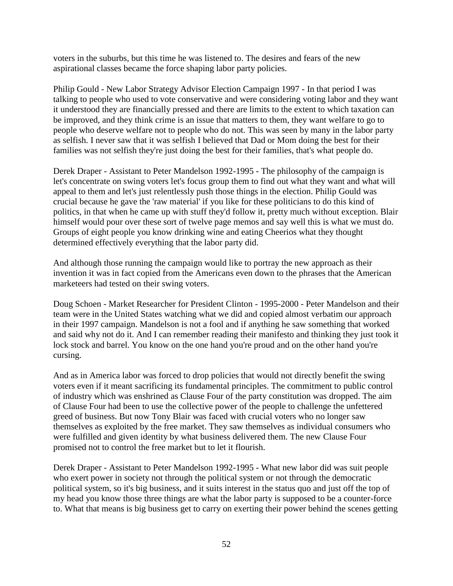voters in the suburbs, but this time he was listened to. The desires and fears of the new aspirational classes became the force shaping labor party policies.

Philip Gould - New Labor Strategy Advisor Election Campaign 1997 - In that period I was talking to people who used to vote conservative and were considering voting labor and they want it understood they are financially pressed and there are limits to the extent to which taxation can be improved, and they think crime is an issue that matters to them, they want welfare to go to people who deserve welfare not to people who do not. This was seen by many in the labor party as selfish. I never saw that it was selfish I believed that Dad or Mom doing the best for their families was not selfish they're just doing the best for their families, that's what people do.

Derek Draper - Assistant to Peter Mandelson 1992-1995 - The philosophy of the campaign is let's concentrate on swing voters let's focus group them to find out what they want and what will appeal to them and let's just relentlessly push those things in the election. Philip Gould was crucial because he gave the 'raw material' if you like for these politicians to do this kind of politics, in that when he came up with stuff they'd follow it, pretty much without exception. Blair himself would pour over these sort of twelve page memos and say well this is what we must do. Groups of eight people you know drinking wine and eating Cheerios what they thought determined effectively everything that the labor party did.

And although those running the campaign would like to portray the new approach as their invention it was in fact copied from the Americans even down to the phrases that the American marketeers had tested on their swing voters.

Doug Schoen - Market Researcher for President Clinton - 1995-2000 - Peter Mandelson and their team were in the United States watching what we did and copied almost verbatim our approach in their 1997 campaign. Mandelson is not a fool and if anything he saw something that worked and said why not do it. And I can remember reading their manifesto and thinking they just took it lock stock and barrel. You know on the one hand you're proud and on the other hand you're cursing.

And as in America labor was forced to drop policies that would not directly benefit the swing voters even if it meant sacrificing its fundamental principles. The commitment to public control of industry which was enshrined as Clause Four of the party constitution was dropped. The aim of Clause Four had been to use the collective power of the people to challenge the unfettered greed of business. But now Tony Blair was faced with crucial voters who no longer saw themselves as exploited by the free market. They saw themselves as individual consumers who were fulfilled and given identity by what business delivered them. The new Clause Four promised not to control the free market but to let it flourish.

Derek Draper - Assistant to Peter Mandelson 1992-1995 - What new labor did was suit people who exert power in society not through the political system or not through the democratic political system, so it's big business, and it suits interest in the status quo and just off the top of my head you know those three things are what the labor party is supposed to be a counter-force to. What that means is big business get to carry on exerting their power behind the scenes getting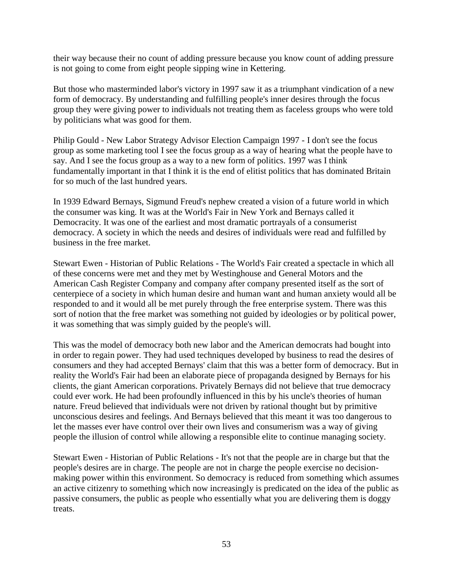their way because their no count of adding pressure because you know count of adding pressure is not going to come from eight people sipping wine in Kettering.

But those who masterminded labor's victory in 1997 saw it as a triumphant vindication of a new form of democracy. By understanding and fulfilling people's inner desires through the focus group they were giving power to individuals not treating them as faceless groups who were told by politicians what was good for them.

Philip Gould - New Labor Strategy Advisor Election Campaign 1997 - I don't see the focus group as some marketing tool I see the focus group as a way of hearing what the people have to say. And I see the focus group as a way to a new form of politics. 1997 was I think fundamentally important in that I think it is the end of elitist politics that has dominated Britain for so much of the last hundred years.

In 1939 Edward Bernays, Sigmund Freud's nephew created a vision of a future world in which the consumer was king. It was at the World's Fair in New York and Bernays called it Democracity. It was one of the earliest and most dramatic portrayals of a consumerist democracy. A society in which the needs and desires of individuals were read and fulfilled by business in the free market.

Stewart Ewen - Historian of Public Relations - The World's Fair created a spectacle in which all of these concerns were met and they met by Westinghouse and General Motors and the American Cash Register Company and company after company presented itself as the sort of centerpiece of a society in which human desire and human want and human anxiety would all be responded to and it would all be met purely through the free enterprise system. There was this sort of notion that the free market was something not guided by ideologies or by political power, it was something that was simply guided by the people's will.

This was the model of democracy both new labor and the American democrats had bought into in order to regain power. They had used techniques developed by business to read the desires of consumers and they had accepted Bernays' claim that this was a better form of democracy. But in reality the World's Fair had been an elaborate piece of propaganda designed by Bernays for his clients, the giant American corporations. Privately Bernays did not believe that true democracy could ever work. He had been profoundly influenced in this by his uncle's theories of human nature. Freud believed that individuals were not driven by rational thought but by primitive unconscious desires and feelings. And Bernays believed that this meant it was too dangerous to let the masses ever have control over their own lives and consumerism was a way of giving people the illusion of control while allowing a responsible elite to continue managing society.

Stewart Ewen - Historian of Public Relations - It's not that the people are in charge but that the people's desires are in charge. The people are not in charge the people exercise no decisionmaking power within this environment. So democracy is reduced from something which assumes an active citizenry to something which now increasingly is predicated on the idea of the public as passive consumers, the public as people who essentially what you are delivering them is doggy treats.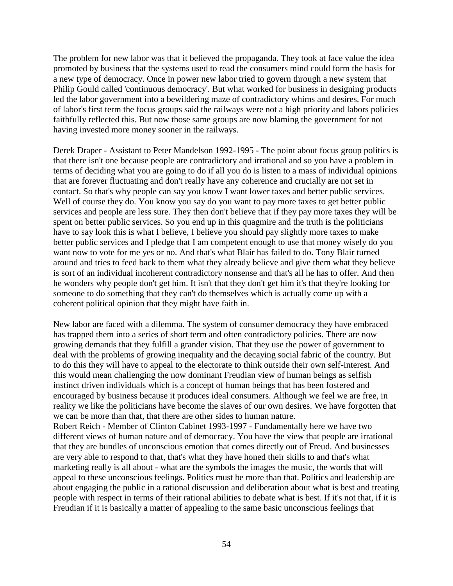The problem for new labor was that it believed the propaganda. They took at face value the idea promoted by business that the systems used to read the consumers mind could form the basis for a new type of democracy. Once in power new labor tried to govern through a new system that Philip Gould called 'continuous democracy'. But what worked for business in designing products led the labor government into a bewildering maze of contradictory whims and desires. For much of labor's first term the focus groups said the railways were not a high priority and labors policies faithfully reflected this. But now those same groups are now blaming the government for not having invested more money sooner in the railways.

Derek Draper - Assistant to Peter Mandelson 1992-1995 - The point about focus group politics is that there isn't one because people are contradictory and irrational and so you have a problem in terms of deciding what you are going to do if all you do is listen to a mass of individual opinions that are forever fluctuating and don't really have any coherence and crucially are not set in contact. So that's why people can say you know I want lower taxes and better public services. Well of course they do. You know you say do you want to pay more taxes to get better public services and people are less sure. They then don't believe that if they pay more taxes they will be spent on better public services. So you end up in this quagmire and the truth is the politicians have to say look this is what I believe, I believe you should pay slightly more taxes to make better public services and I pledge that I am competent enough to use that money wisely do you want now to vote for me yes or no. And that's what Blair has failed to do. Tony Blair turned around and tries to feed back to them what they already believe and give them what they believe is sort of an individual incoherent contradictory nonsense and that's all he has to offer. And then he wonders why people don't get him. It isn't that they don't get him it's that they're looking for someone to do something that they can't do themselves which is actually come up with a coherent political opinion that they might have faith in.

New labor are faced with a dilemma. The system of consumer democracy they have embraced has trapped them into a series of short term and often contradictory policies. There are now growing demands that they fulfill a grander vision. That they use the power of government to deal with the problems of growing inequality and the decaying social fabric of the country. But to do this they will have to appeal to the electorate to think outside their own self-interest. And this would mean challenging the now dominant Freudian view of human beings as selfish instinct driven individuals which is a concept of human beings that has been fostered and encouraged by business because it produces ideal consumers. Although we feel we are free, in reality we like the politicians have become the slaves of our own desires. We have forgotten that we can be more than that, that there are other sides to human nature.

Robert Reich - Member of Clinton Cabinet 1993-1997 - Fundamentally here we have two different views of human nature and of democracy. You have the view that people are irrational that they are bundles of unconscious emotion that comes directly out of Freud. And businesses are very able to respond to that, that's what they have honed their skills to and that's what marketing really is all about - what are the symbols the images the music, the words that will appeal to these unconscious feelings. Politics must be more than that. Politics and leadership are about engaging the public in a rational discussion and deliberation about what is best and treating people with respect in terms of their rational abilities to debate what is best. If it's not that, if it is Freudian if it is basically a matter of appealing to the same basic unconscious feelings that